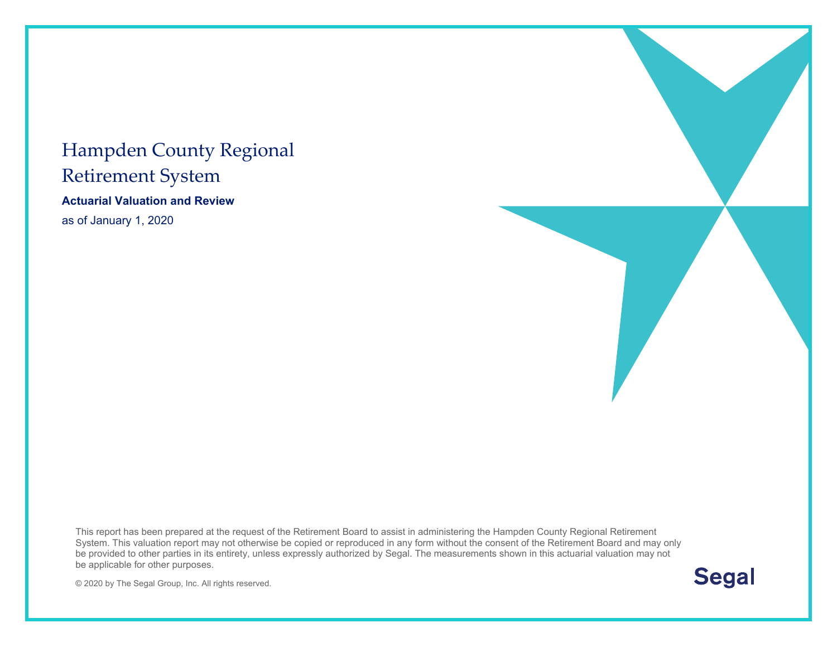#### Hampden County Regional Retirement System

**Actuarial Valuation and Review** 

as of January 1, 2020

This report has been prepared at the request of the Retirement Board to assist in administering the Hampden County Regional Retirement System. This valuation report may not otherwise be copied or reproduced in any form without the consent of the Retirement Board and may only be provided to other parties in its entirety, unless expressly authorized by Segal. The measurements shown in this actuarial valuation may not be applicable for other purposes.

© 2020 by The Segal Group, Inc. All rights reserved.

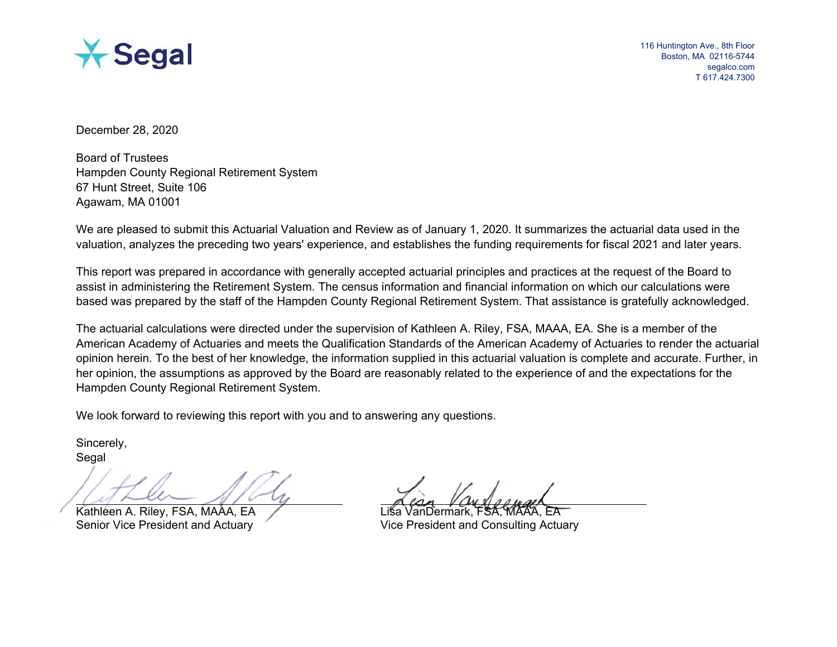

116 Huntington Ave., 8th Floor Boston, MA 02116-5744 segalco.com T 617.424.7300

December 28, 2020

Board of Trustees Hampden County Regional Retirement System 67 Hunt Street, Suite 106 Agawam, MA 01001

We are pleased to submit this Actuarial Valuation and Review as of January 1, 2020. It summarizes the actuarial data used in the valuation, analyzes the preceding two years' experience, and establishes the funding requirements for fiscal 2021 and later years.

This report was prepared in accordance with generally accepted actuarial principles and practices at the request of the Board to assist in administering the Retirement System. The census information and financial information on which our calculations were based was prepared by the staff of the Hampden County Regional Retirement System. That assistance is gratefully acknowledged.

The actuarial calculations were directed under the supervision of Kathleen A. Riley, FSA, MAAA, EA. She is a member of the American Academy of Actuaries and meets the Qualification Standards of the American Academy of Actuaries to render the actuarial opinion herein. To the best of her knowledge, the information supplied in this actuarial valuation is complete and accurate. Further, in her opinion, the assumptions as approved by the Board are reasonably related to the experience of and the expectations for the Hampden County Regional Retirement System.

We look forward to reviewing this report with you and to answering any questions.

Sincerely, **Segal** 

Kathleen A. Riley, FSA, MAAA, EA

Senior Vice President and Actuary Vice President and Consulting Actuary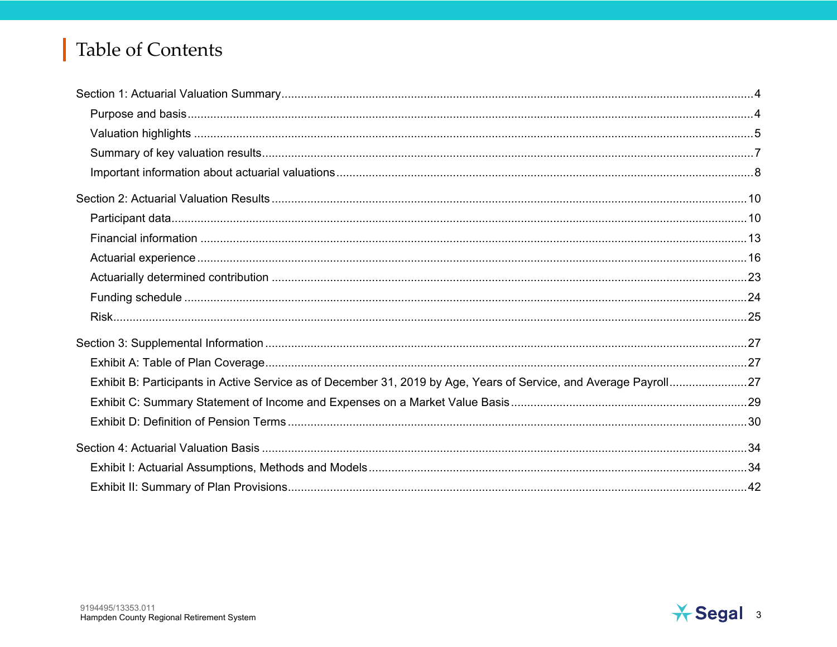## **Table of Contents**

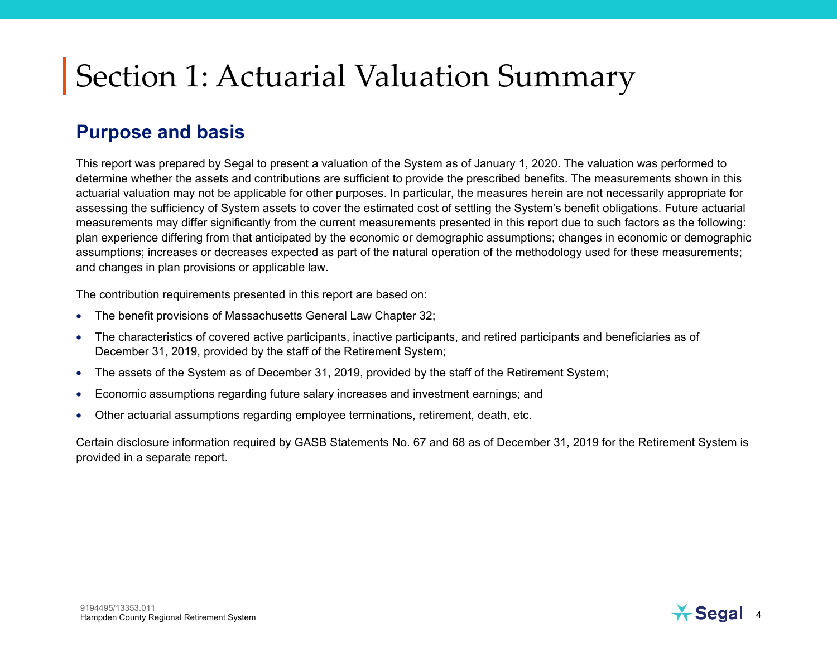#### **Purpose and basis**

This report was prepared by Segal to present a valuation of the System as of January 1, 2020. The valuation was performed to determine whether the assets and contributions are sufficient to provide the prescribed benefits. The measurements shown in this actuarial valuation may not be applicable for other purposes. In particular, the measures herein are not necessarily appropriate for assessing the sufficiency of System assets to cover the estimated cost of settling the System's benefit obligations. Future actuarial measurements may differ significantly from the current measurements presented in this report due to such factors as the following: plan experience differing from that anticipated by the economic or demographic assumptions; changes in economic or demographic assumptions; increases or decreases expected as part of the natural operation of the methodology used for these measurements; and changes in plan provisions or applicable law.

The contribution requirements presented in this report are based on:

- •The benefit provisions of Massachusetts General Law Chapter 32;
- • The characteristics of covered active participants, inactive participants, and retired participants and beneficiaries as of December 31, 2019, provided by the staff of the Retirement System;
- •The assets of the System as of December 31, 2019, provided by the staff of the Retirement System;
- •Economic assumptions regarding future salary increases and investment earnings; and
- •Other actuarial assumptions regarding employee terminations, retirement, death, etc.

Certain disclosure information required by GASB Statements No. 67 and 68 as of December 31, 2019 for the Retirement System is provided in a separate report.

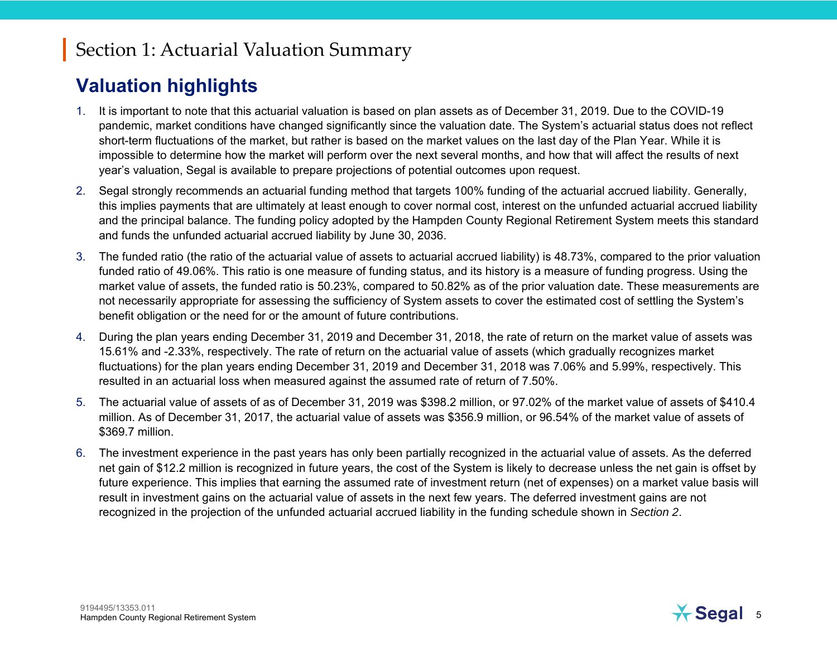#### **Valuation highlights**

- 1. It is important to note that this actuarial valuation is based on plan assets as of December 31, 2019. Due to the COVID-19 pandemic, market conditions have changed significantly since the valuation date. The System's actuarial status does not reflect short-term fluctuations of the market, but rather is based on the market values on the last day of the Plan Year. While it is impossible to determine how the market will perform over the next several months, and how that will affect the results of next year's valuation, Segal is available to prepare projections of potential outcomes upon request.
- 2. Segal strongly recommends an actuarial funding method that targets 100% funding of the actuarial accrued liability. Generally, this implies payments that are ultimately at least enough to cover normal cost, interest on the unfunded actuarial accrued liability and the principal balance. The funding policy adopted by the Hampden County Regional Retirement System meets this standard and funds the unfunded actuarial accrued liability by June 30, 2036.
- 3. The funded ratio (the ratio of the actuarial value of assets to actuarial accrued liability) is 48.73%, compared to the prior valuation funded ratio of 49.06%. This ratio is one measure of funding status, and its history is a measure of funding progress. Using the market value of assets, the funded ratio is 50.23%, compared to 50.82% as of the prior valuation date. These measurements are not necessarily appropriate for assessing the sufficiency of System assets to cover the estimated cost of settling the System's benefit obligation or the need for or the amount of future contributions.
- 4. During the plan years ending December 31, 2019 and December 31, 2018, the rate of return on the market value of assets was 15.61% and -2.33%, respectively. The rate of return on the actuarial value of assets (which gradually recognizes market fluctuations) for the plan years ending December 31, 2019 and December 31, 2018 was 7.06% and 5.99%, respectively. This resulted in an actuarial loss when measured against the assumed rate of return of 7.50%.
- 5. The actuarial value of assets of as of December 31, 2019 was \$398.2 million, or 97.02% of the market value of assets of \$410.4 million. As of December 31, 2017, the actuarial value of assets was \$356.9 million, or 96.54% of the market value of assets of \$369.7 million.
- 6. The investment experience in the past years has only been partially recognized in the actuarial value of assets. As the deferred net gain of \$12.2 million is recognized in future years, the cost of the System is likely to decrease unless the net gain is offset by future experience. This implies that earning the assumed rate of investment return (net of expenses) on a market value basis will result in investment gains on the actuarial value of assets in the next few years. The deferred investment gains are not recognized in the projection of the unfunded actuarial accrued liability in the funding schedule shown in *Section 2*.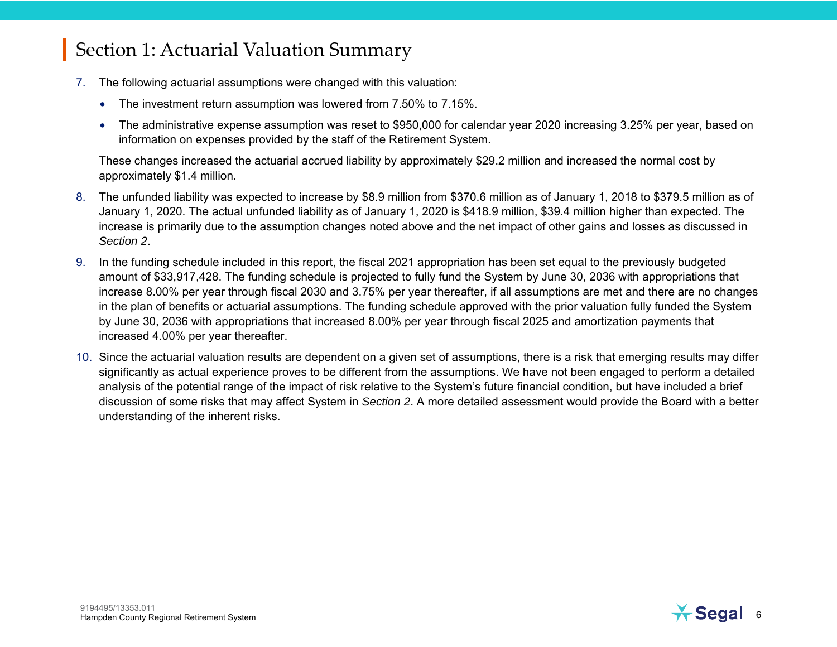- 7. The following actuarial assumptions were changed with this valuation:
	- The investment return assumption was lowered from 7.50% to 7.15%.
	- The administrative expense assumption was reset to \$950,000 for calendar year 2020 increasing 3.25% per year, based on information on expenses provided by the staff of the Retirement System.

These changes increased the actuarial accrued liability by approximately \$29.2 million and increased the normal cost by approximately \$1.4 million.

- 8. The unfunded liability was expected to increase by \$8.9 million from \$370.6 million as of January 1, 2018 to \$379.5 million as of January 1, 2020. The actual unfunded liability as of January 1, 2020 is \$418.9 million, \$39.4 million higher than expected. The increase is primarily due to the assumption changes noted above and the net impact of other gains and losses as discussed in *Section 2*.
- 9. In the funding schedule included in this report, the fiscal 2021 appropriation has been set equal to the previously budgeted amount of \$33,917,428. The funding schedule is projected to fully fund the System by June 30, 2036 with appropriations that increase 8.00% per year through fiscal 2030 and 3.75% per year thereafter, if all assumptions are met and there are no changes in the plan of benefits or actuarial assumptions. The funding schedule approved with the prior valuation fully funded the System by June 30, 2036 with appropriations that increased 8.00% per year through fiscal 2025 and amortization payments that increased 4.00% per year thereafter.
- 10. Since the actuarial valuation results are dependent on a given set of assumptions, there is a risk that emerging results may differ significantly as actual experience proves to be different from the assumptions. We have not been engaged to perform a detailed analysis of the potential range of the impact of risk relative to the System's future financial condition, but have included a brief discussion of some risks that may affect System in *Section 2*. A more detailed assessment would provide the Board with a better understanding of the inherent risks.

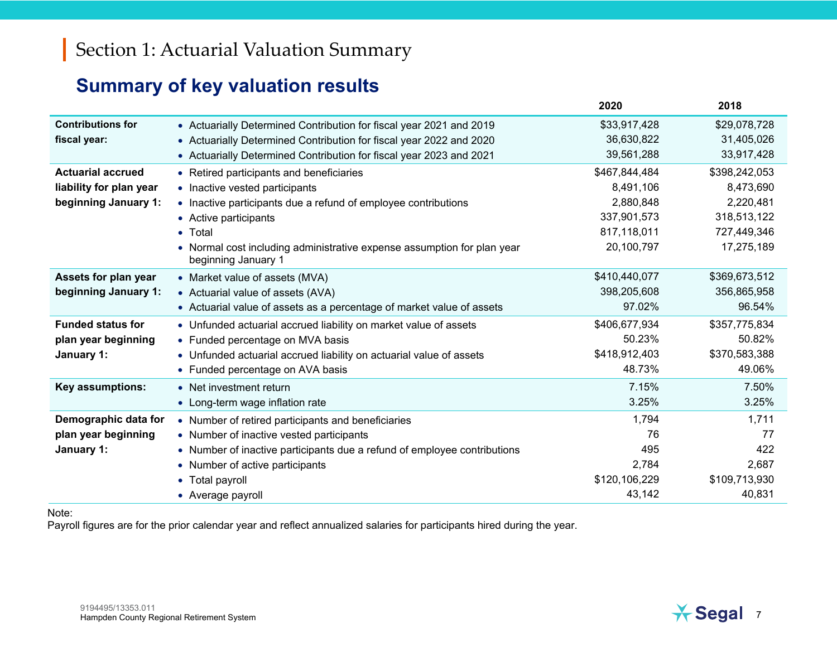#### **Summary of key valuation results**

|                          |                                                                                              | 2020          | 2018          |
|--------------------------|----------------------------------------------------------------------------------------------|---------------|---------------|
| <b>Contributions for</b> | • Actuarially Determined Contribution for fiscal year 2021 and 2019                          | \$33,917,428  | \$29,078,728  |
| fiscal year:             | • Actuarially Determined Contribution for fiscal year 2022 and 2020                          | 36,630,822    | 31,405,026    |
|                          | • Actuarially Determined Contribution for fiscal year 2023 and 2021                          | 39,561,288    | 33,917,428    |
| <b>Actuarial accrued</b> | • Retired participants and beneficiaries                                                     | \$467,844,484 | \$398,242,053 |
| liability for plan year  | • Inactive vested participants                                                               | 8,491,106     | 8,473,690     |
| beginning January 1:     | • Inactive participants due a refund of employee contributions                               | 2,880,848     | 2,220,481     |
|                          | • Active participants                                                                        | 337,901,573   | 318,513,122   |
|                          | • Total                                                                                      | 817,118,011   | 727,449,346   |
|                          | Normal cost including administrative expense assumption for plan year<br>beginning January 1 | 20,100,797    | 17,275,189    |
| Assets for plan year     | • Market value of assets (MVA)                                                               | \$410,440,077 | \$369,673,512 |
| beginning January 1:     | • Actuarial value of assets (AVA)                                                            | 398,205,608   | 356,865,958   |
|                          | • Actuarial value of assets as a percentage of market value of assets                        | 97.02%        | 96.54%        |
| <b>Funded status for</b> | • Unfunded actuarial accrued liability on market value of assets                             | \$406,677,934 | \$357,775,834 |
| plan year beginning      | • Funded percentage on MVA basis                                                             | 50.23%        | 50.82%        |
| January 1:               | • Unfunded actuarial accrued liability on actuarial value of assets                          | \$418,912,403 | \$370,583,388 |
|                          | • Funded percentage on AVA basis                                                             | 48.73%        | 49.06%        |
| <b>Key assumptions:</b>  | • Net investment return                                                                      | 7.15%         | 7.50%         |
|                          | • Long-term wage inflation rate                                                              | 3.25%         | 3.25%         |
| Demographic data for     | • Number of retired participants and beneficiaries                                           | 1,794         | 1,711         |
| plan year beginning      | • Number of inactive vested participants                                                     | 76            | 77            |
| January 1:               | • Number of inactive participants due a refund of employee contributions                     | 495           | 422           |
|                          | • Number of active participants                                                              | 2,784         | 2,687         |
|                          | • Total payroll                                                                              | \$120,106,229 | \$109,713,930 |
|                          | • Average payroll                                                                            | 43,142        | 40,831        |

Note:

Payroll figures are for the prior calendar year and reflect annualized salaries for participants hired during the year.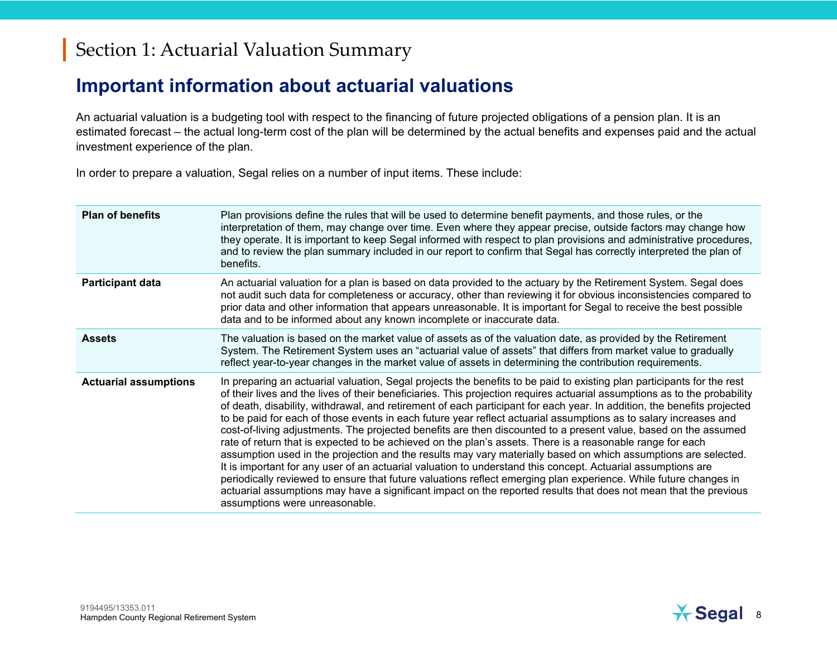#### **Important information about actuarial valuations**

An actuarial valuation is a budgeting tool with respect to the financing of future projected obligations of a pension plan. It is an estimated forecast – the actual long-term cost of the plan will be determined by the actual benefits and expenses paid and the actual investment experience of the plan.

In order to prepare a valuation, Segal relies on a number of input items. These include:

| <b>Plan of benefits</b>      | Plan provisions define the rules that will be used to determine benefit payments, and those rules, or the<br>interpretation of them, may change over time. Even where they appear precise, outside factors may change how<br>they operate. It is important to keep Segal informed with respect to plan provisions and administrative procedures,<br>and to review the plan summary included in our report to confirm that Segal has correctly interpreted the plan of<br>benefits.                                                                                                                                                                                                                                                                                                                                                                                                                                                                                                                                                                                                                                                                                                                                                             |
|------------------------------|------------------------------------------------------------------------------------------------------------------------------------------------------------------------------------------------------------------------------------------------------------------------------------------------------------------------------------------------------------------------------------------------------------------------------------------------------------------------------------------------------------------------------------------------------------------------------------------------------------------------------------------------------------------------------------------------------------------------------------------------------------------------------------------------------------------------------------------------------------------------------------------------------------------------------------------------------------------------------------------------------------------------------------------------------------------------------------------------------------------------------------------------------------------------------------------------------------------------------------------------|
| <b>Participant data</b>      | An actuarial valuation for a plan is based on data provided to the actuary by the Retirement System. Segal does<br>not audit such data for completeness or accuracy, other than reviewing it for obvious inconsistencies compared to<br>prior data and other information that appears unreasonable. It is important for Segal to receive the best possible<br>data and to be informed about any known incomplete or inaccurate data.                                                                                                                                                                                                                                                                                                                                                                                                                                                                                                                                                                                                                                                                                                                                                                                                           |
| <b>Assets</b>                | The valuation is based on the market value of assets as of the valuation date, as provided by the Retirement<br>System. The Retirement System uses an "actuarial value of assets" that differs from market value to gradually<br>reflect year-to-year changes in the market value of assets in determining the contribution requirements.                                                                                                                                                                                                                                                                                                                                                                                                                                                                                                                                                                                                                                                                                                                                                                                                                                                                                                      |
| <b>Actuarial assumptions</b> | In preparing an actuarial valuation, Segal projects the benefits to be paid to existing plan participants for the rest<br>of their lives and the lives of their beneficiaries. This projection requires actuarial assumptions as to the probability<br>of death, disability, withdrawal, and retirement of each participant for each year. In addition, the benefits projected<br>to be paid for each of those events in each future year reflect actuarial assumptions as to salary increases and<br>cost-of-living adjustments. The projected benefits are then discounted to a present value, based on the assumed<br>rate of return that is expected to be achieved on the plan's assets. There is a reasonable range for each<br>assumption used in the projection and the results may vary materially based on which assumptions are selected.<br>It is important for any user of an actuarial valuation to understand this concept. Actuarial assumptions are<br>periodically reviewed to ensure that future valuations reflect emerging plan experience. While future changes in<br>actuarial assumptions may have a significant impact on the reported results that does not mean that the previous<br>assumptions were unreasonable. |

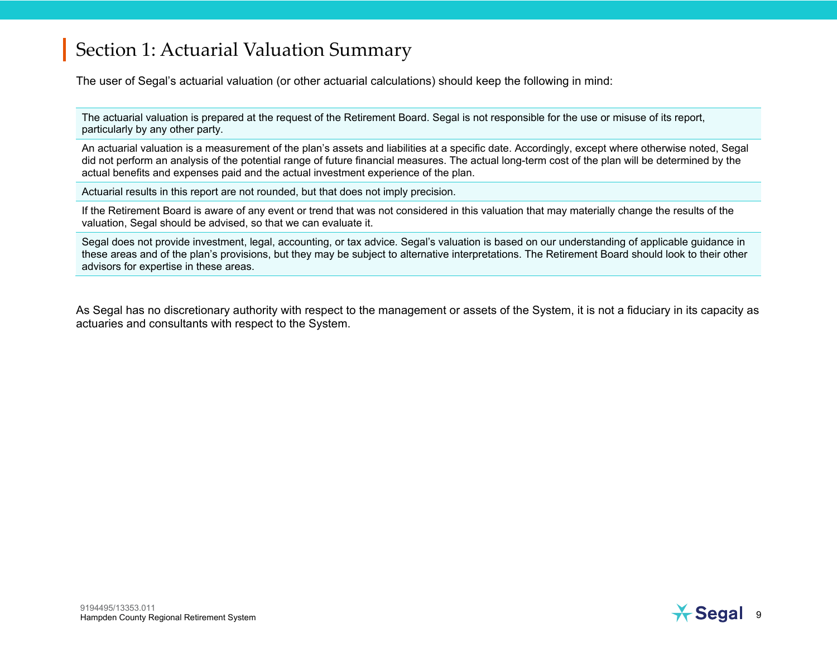The user of Segal's actuarial valuation (or other actuarial calculations) should keep the following in mind:

The actuarial valuation is prepared at the request of the Retirement Board. Segal is not responsible for the use or misuse of its report, particularly by any other party.

An actuarial valuation is a measurement of the plan's assets and liabilities at a specific date. Accordingly, except where otherwise noted, Segal did not perform an analysis of the potential range of future financial measures. The actual long-term cost of the plan will be determined by the actual benefits and expenses paid and the actual investment experience of the plan.

Actuarial results in this report are not rounded, but that does not imply precision.

If the Retirement Board is aware of any event or trend that was not considered in this valuation that may materially change the results of the valuation, Segal should be advised, so that we can evaluate it.

Segal does not provide investment, legal, accounting, or tax advice. Segal's valuation is based on our understanding of applicable guidance in these areas and of the plan's provisions, but they may be subject to alternative interpretations. The Retirement Board should look to their other advisors for expertise in these areas.

As Segal has no discretionary authority with respect to the management or assets of the System, it is not a fiduciary in its capacity as actuaries and consultants with respect to the System.

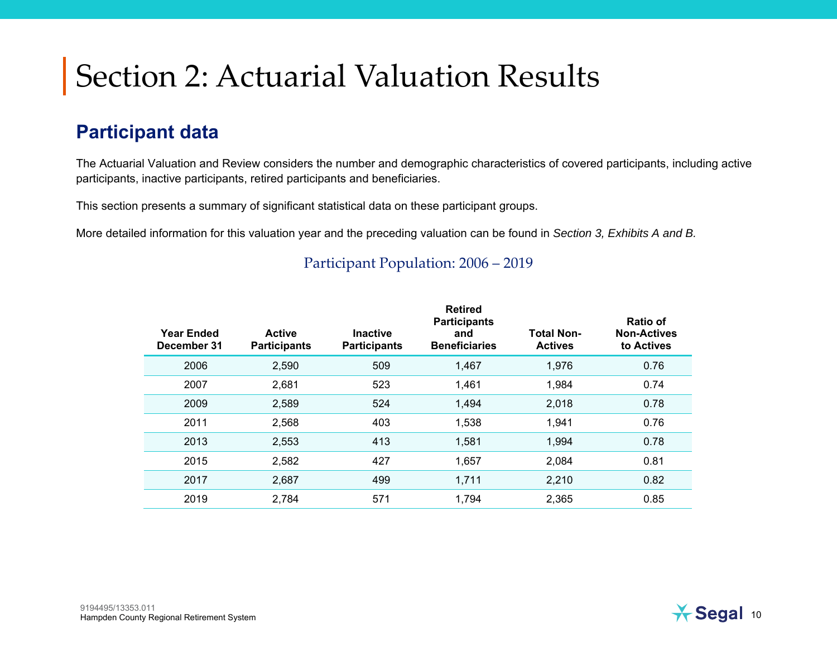#### **Participant data**

The Actuarial Valuation and Review considers the number and demographic characteristics of covered participants, including active participants, inactive participants, retired participants and beneficiaries.

This section presents a summary of significant statistical data on these participant groups.

More detailed information for this valuation year and the preceding valuation can be found in *Section 3, Exhibits A and B.*

| <b>Year Ended</b><br>December 31 | <b>Active</b><br><b>Participants</b> | <b>Inactive</b><br><b>Participants</b> | <b>Retired</b><br><b>Participants</b><br>and<br><b>Beneficiaries</b> | <b>Total Non-</b><br><b>Actives</b> | Ratio of<br><b>Non-Actives</b><br>to Actives |
|----------------------------------|--------------------------------------|----------------------------------------|----------------------------------------------------------------------|-------------------------------------|----------------------------------------------|
| 2006                             | 2,590                                | 509                                    | 1,467                                                                | 1,976                               | 0.76                                         |
| 2007                             | 2,681                                | 523                                    | 1,461                                                                | 1,984                               | 0.74                                         |
| 2009                             | 2,589                                | 524                                    | 1,494                                                                | 2,018                               | 0.78                                         |
| 2011                             | 2,568                                | 403                                    | 1,538                                                                | 1,941                               | 0.76                                         |
| 2013                             | 2,553                                | 413                                    | 1,581                                                                | 1,994                               | 0.78                                         |
| 2015                             | 2,582                                | 427                                    | 1,657                                                                | 2,084                               | 0.81                                         |
| 2017                             | 2,687                                | 499                                    | 1,711                                                                | 2,210                               | 0.82                                         |
| 2019                             | 2,784                                | 571                                    | 1,794                                                                | 2,365                               | 0.85                                         |

#### Participant Population: 2006 – 2019

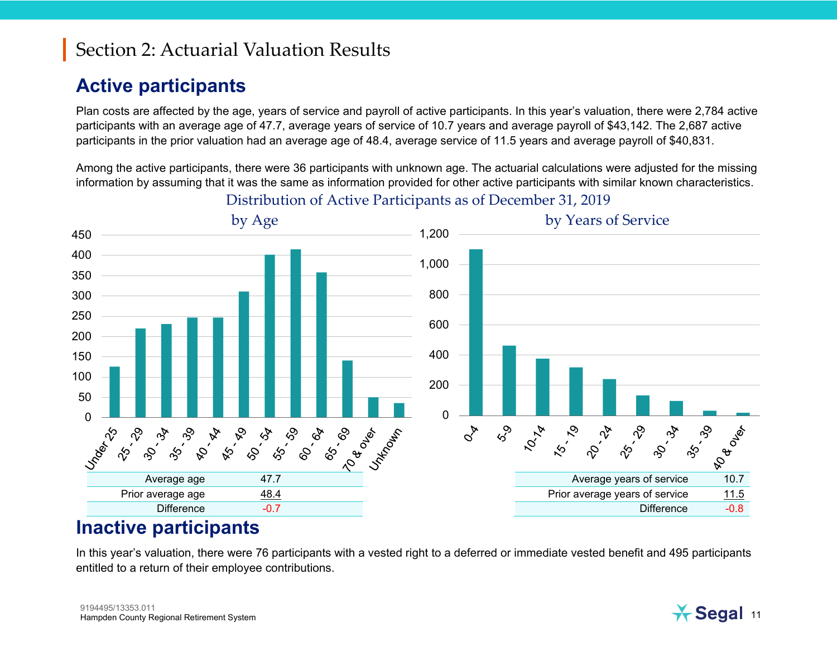#### **Active participants**

Plan costs are affected by the age, years of service and payroll of active participants. In this year's valuation, there were 2,784 active participants with an average age of 47.7, average years of service of 10.7 years and average payroll of \$43,142. The 2,687 active participants in the prior valuation had an average age of 48.4, average service of 11.5 years and average payroll of \$40,831.

Among the active participants, there were 36 participants with unknown age. The actuarial calculations were adjusted for the missing information by assuming that it was the same as information provided for other active participants with similar known characteristics.



Distribution of Active Participants as of December 31, 2019

#### **Inactive participants**

In this year's valuation, there were 76 participants with a vested right to a deferred or immediate vested benefit and 495 participants entitled to a return of their employee contributions.

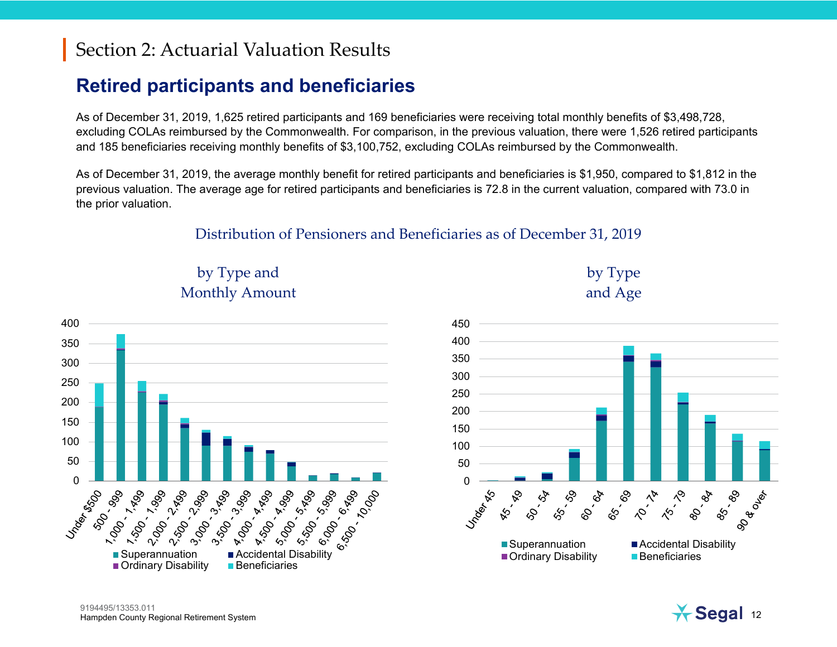### **Retired participants and beneficiaries**

As of December 31, 2019, 1,625 retired participants and 169 beneficiaries were receiving total monthly benefits of \$3,498,728, excluding COLAs reimbursed by the Commonwealth. For comparison, in the previous valuation, there were 1,526 retired participants and 185 beneficiaries receiving monthly benefits of \$3,100,752, excluding COLAs reimbursed by the Commonwealth.

As of December 31, 2019, the average monthly benefit for retired participants and beneficiaries is \$1,950, compared to \$1,812 in the previous valuation. The average age for retired participants and beneficiaries is 72.8 in the current valuation, compared with 73.0 in the prior valuation.

#### Distribution of Pensioners and Beneficiaries as of December 31, 2019







by Type

and Age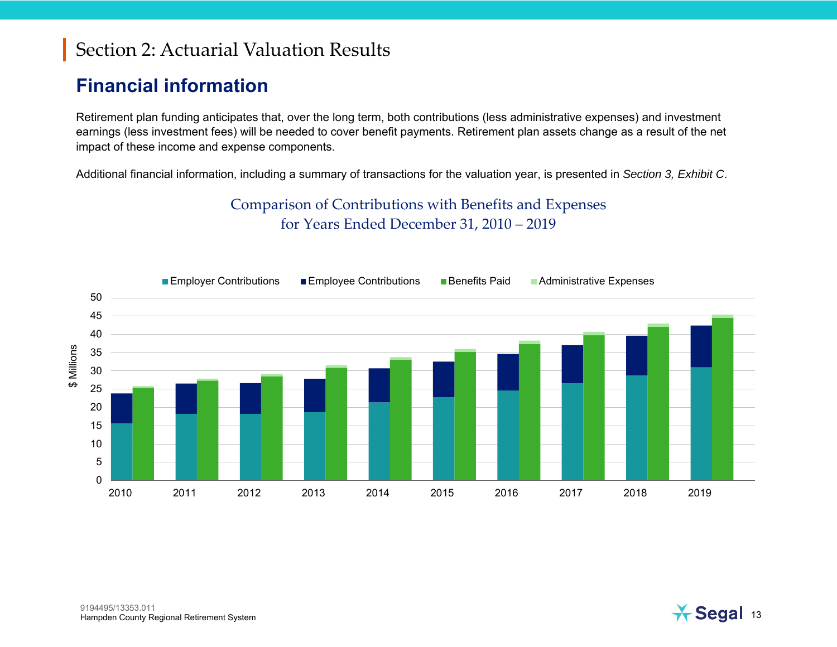#### **Financial information**

Retirement plan funding anticipates that, over the long term, both contributions (less administrative expenses) and investment earnings (less investment fees) will be needed to cover benefit payments. Retirement plan assets change as a result of the net impact of these income and expense components.

Additional financial information, including a summary of transactions for the valuation year, is presented in *Section 3, Exhibit C*.

Comparison of Contributions with Benefits and Expenses for Years Ended December 31, 2010 – 2019



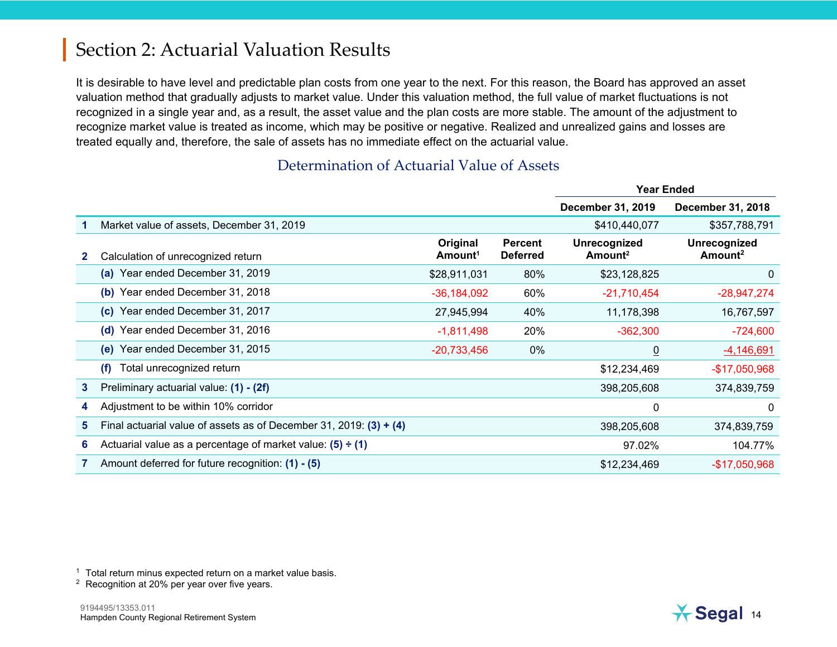It is desirable to have level and predictable plan costs from one year to the next. For this reason, the Board has approved an asset valuation method that gradually adjusts to market value. Under this valuation method, the full value of market fluctuations is not recognized in a single year and, as a result, the asset value and the plan costs are more stable. The amount of the adjustment to recognize market value is treated as income, which may be positive or negative. Realized and unrealized gains and losses are treated equally and, therefore, the sale of assets has no immediate effect on the actuarial value.

|              |                                                                      |                                 |                                   | <b>Year Ended</b>                   |                                     |  |
|--------------|----------------------------------------------------------------------|---------------------------------|-----------------------------------|-------------------------------------|-------------------------------------|--|
|              |                                                                      |                                 |                                   | <b>December 31, 2019</b>            | <b>December 31, 2018</b>            |  |
|              | Market value of assets, December 31, 2019                            |                                 |                                   | \$410,440,077                       | \$357,788,791                       |  |
|              | Calculation of unrecognized return                                   | Original<br>Amount <sup>1</sup> | <b>Percent</b><br><b>Deferred</b> | Unrecognized<br>Amount <sup>2</sup> | Unrecognized<br>Amount <sup>2</sup> |  |
|              | (a) Year ended December 31, 2019                                     | \$28,911,031                    | 80%                               | \$23,128,825                        | 0                                   |  |
|              | Year ended December 31, 2018<br>(b)                                  | $-36, 184, 092$                 | 60%                               | $-21,710,454$                       | $-28,947,274$                       |  |
|              | (c) Year ended December 31, 2017                                     | 27,945,994                      | 40%                               | 11,178,398                          | 16,767,597                          |  |
|              | Year ended December 31, 2016<br>(d)                                  | $-1,811,498$                    | 20%                               | $-362,300$                          | $-724,600$                          |  |
|              | (e) Year ended December 31, 2015                                     | $-20,733,456$                   | 0%                                | $\underline{0}$                     | $-4,146,691$                        |  |
|              | Total unrecognized return<br>(f)                                     |                                 |                                   | \$12,234,469                        | -\$17,050,968                       |  |
| $\mathbf{3}$ | Preliminary actuarial value: (1) - (2f)                              |                                 |                                   | 398,205,608                         | 374,839,759                         |  |
| 4            | Adjustment to be within 10% corridor                                 |                                 |                                   | $\mathbf{0}$                        | $\mathbf{0}$                        |  |
| 5.           | Final actuarial value of assets as of December 31, 2019: $(3) + (4)$ |                                 |                                   | 398,205,608                         | 374,839,759                         |  |
| 6            | Actuarial value as a percentage of market value: $(5) \div (1)$      |                                 |                                   | 97.02%                              | 104.77%                             |  |
|              | Amount deferred for future recognition: (1) - (5)                    |                                 |                                   | \$12,234,469                        | $-$17,050,968$                      |  |

#### Determination of Actuarial Value of Assets

<sup>1</sup> Total return minus expected return on a market value basis.<br><sup>2</sup> Recognition at 20% per year over five years.

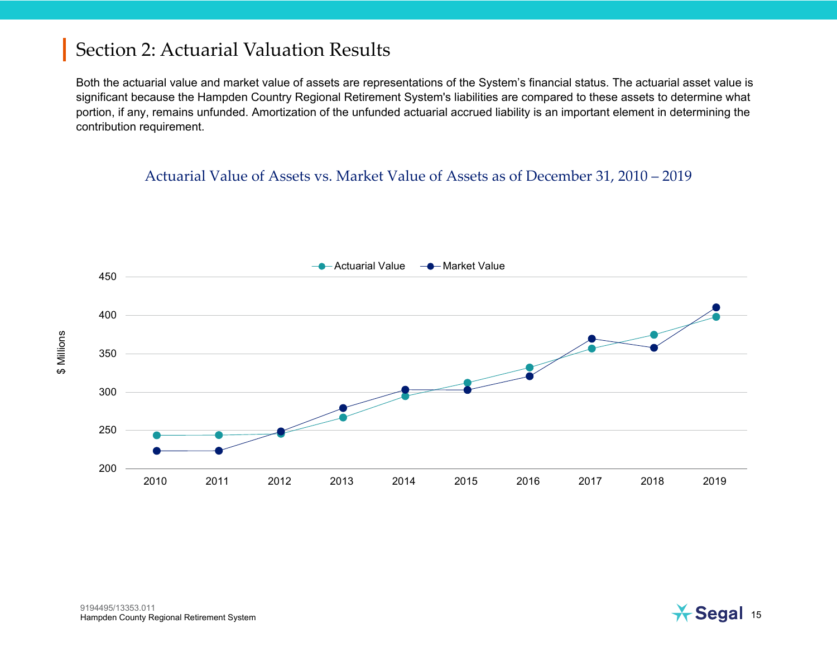Both the actuarial value and market value of assets are representations of the System's financial status. The actuarial asset value is significant because the Hampden Country Regional Retirement System's liabilities are compared to these assets to determine what portion, if any, remains unfunded. Amortization of the unfunded actuarial accrued liability is an important element in determining the contribution requirement.

#### Actuarial Value of Assets vs. Market Value of Assets as of December 31, 2010 – 2019

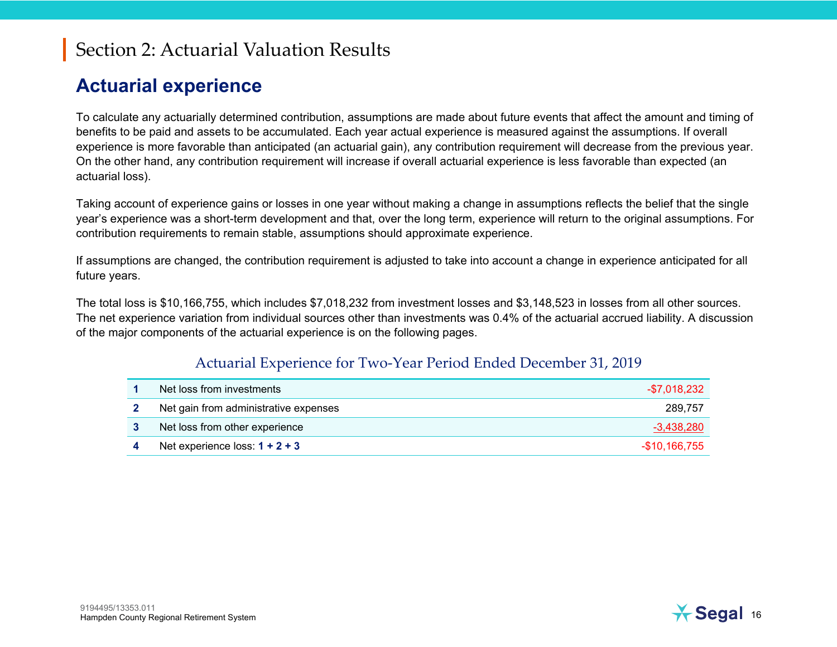#### **Actuarial experience**

To calculate any actuarially determined contribution, assumptions are made about future events that affect the amount and timing of benefits to be paid and assets to be accumulated. Each year actual experience is measured against the assumptions. If overall experience is more favorable than anticipated (an actuarial gain), any contribution requirement will decrease from the previous year. On the other hand, any contribution requirement will increase if overall actuarial experience is less favorable than expected (an actuarial loss).

Taking account of experience gains or losses in one year without making a change in assumptions reflects the belief that the single year's experience was a short-term development and that, over the long term, experience will return to the original assumptions. For contribution requirements to remain stable, assumptions should approximate experience.

If assumptions are changed, the contribution requirement is adjusted to take into account a change in experience anticipated for all future years.

The total loss is \$10,166,755, which includes \$7,018,232 from investment losses and \$3,148,523 in losses from all other sources. The net experience variation from individual sources other than investments was 0.4% of the actuarial accrued liability. A discussion of the major components of the actuarial experience is on the following pages.

#### Actuarial Experience for Two-Year Period Ended December 31, 2019

| Net loss from investments             | -\$7,018,232   |
|---------------------------------------|----------------|
| Net gain from administrative expenses | 289.757        |
| Net loss from other experience        | -3,438,280     |
| Net experience loss: $1 + 2 + 3$      | $-$10,166,755$ |

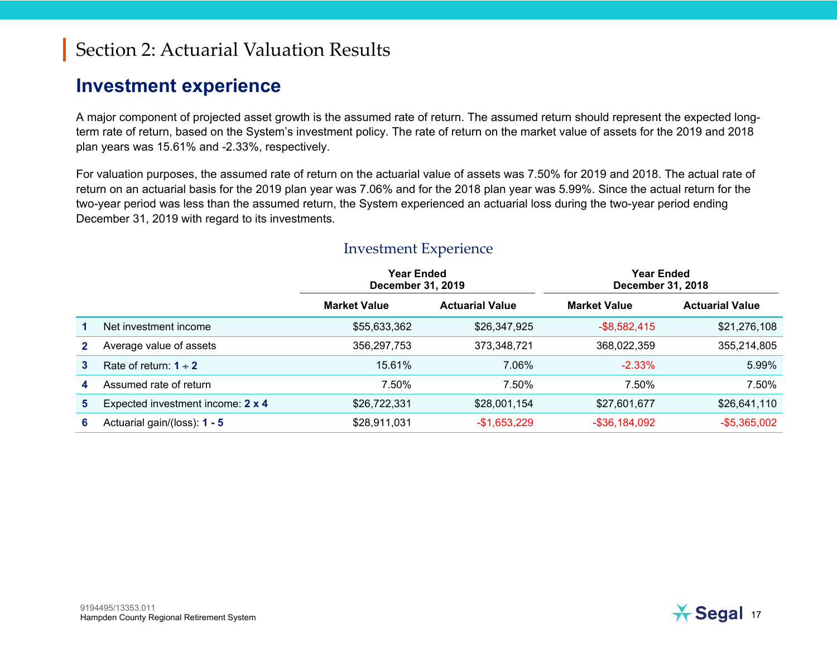#### **Investment experience**

A major component of projected asset growth is the assumed rate of return. The assumed return should represent the expected longterm rate of return, based on the System's investment policy. The rate of return on the market value of assets for the 2019 and 2018 plan years was 15.61% and -2.33%, respectively.

For valuation purposes, the assumed rate of return on the actuarial value of assets was 7.50% for 2019 and 2018. The actual rate of return on an actuarial basis for the 2019 plan year was 7.06% and for the 2018 plan year was 5.99%. Since the actual return for the two-year period was less than the assumed return, the System experienced an actuarial loss during the two-year period ending December 31, 2019 with regard to its investments.

|   |                                   | <b>Year Ended</b><br>December 31, 2019 |                        | <b>Year Ended</b><br><b>December 31, 2018</b> |                        |
|---|-----------------------------------|----------------------------------------|------------------------|-----------------------------------------------|------------------------|
|   |                                   | <b>Market Value</b>                    | <b>Actuarial Value</b> |                                               | <b>Actuarial Value</b> |
|   | Net investment income             | \$55,633,362                           | \$26,347,925           | $-$ \$8,582,415                               | \$21,276,108           |
|   | Average value of assets           | 356,297,753                            | 373,348,721            | 368,022,359                                   | 355,214,805            |
| 3 | Rate of return: $1 \div 2$        | 15.61%                                 | 7.06%                  | $-2.33\%$                                     | 5.99%                  |
| 4 | Assumed rate of return            | 7.50%                                  | 7.50%                  | 7.50%                                         | 7.50%                  |
| 5 | Expected investment income: 2 x 4 | \$26,722,331                           | \$28,001,154           | \$27,601,677                                  | \$26,641,110           |
| 6 | Actuarial gain/(loss): 1 - 5      | \$28,911,031                           | $-$1,653,229$          | $-$ \$36,184,092                              | $-$ \$5,365,002        |

#### Investment Experience

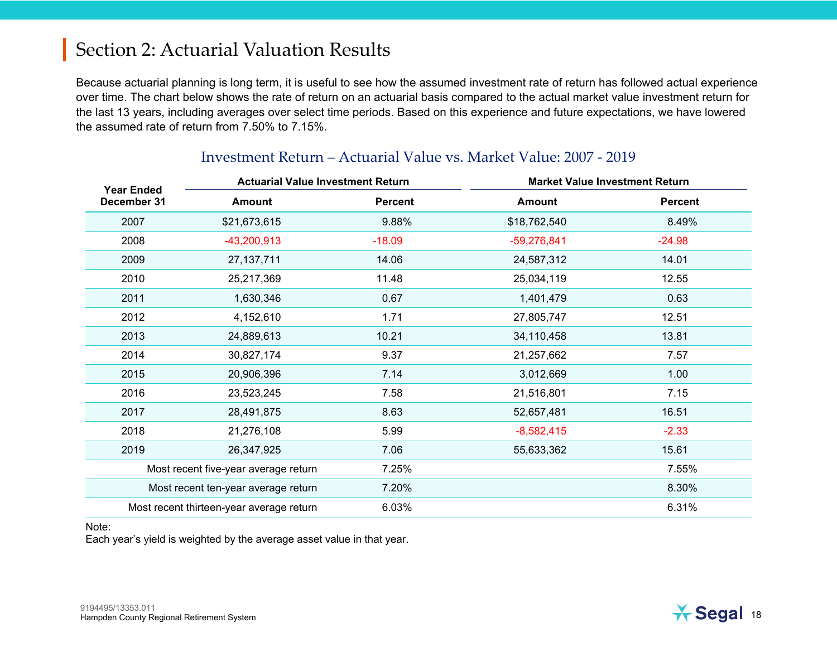Because actuarial planning is long term, it is useful to see how the assumed investment rate of return has followed actual experience over time. The chart below shows the rate of return on an actuarial basis compared to the actual market value investment return for the last 13 years, including averages over select time periods. Based on this experience and future expectations, we have lowered the assumed rate of return from 7.50% to 7.15%.

| <b>Year Ended</b>                        |                                     | <b>Actuarial Value Investment Return</b><br><b>Market Value Investment Return</b> |               |                |
|------------------------------------------|-------------------------------------|-----------------------------------------------------------------------------------|---------------|----------------|
| December 31                              | <b>Amount</b>                       | <b>Percent</b>                                                                    | <b>Amount</b> | <b>Percent</b> |
| 2007                                     | \$21,673,615                        | 9.88%                                                                             | \$18,762,540  | 8.49%          |
| 2008                                     | $-43,200,913$                       | $-18.09$                                                                          | $-59,276,841$ | $-24.98$       |
| 2009                                     | 27, 137, 711                        | 14.06                                                                             | 24,587,312    | 14.01          |
| 2010                                     | 25,217,369                          | 11.48                                                                             | 25,034,119    | 12.55          |
| 2011                                     | 1,630,346                           | 0.67                                                                              | 1,401,479     | 0.63           |
| 2012                                     | 4,152,610                           | 1.71                                                                              | 27,805,747    | 12.51          |
| 2013                                     | 24,889,613                          | 10.21                                                                             | 34,110,458    | 13.81          |
| 2014                                     | 30,827,174                          | 9.37                                                                              | 21,257,662    | 7.57           |
| 2015                                     | 20,906,396                          | 7.14                                                                              | 3,012,669     | 1.00           |
| 2016                                     | 23,523,245                          | 7.58                                                                              | 21,516,801    | 7.15           |
| 2017                                     | 28,491,875                          | 8.63                                                                              | 52,657,481    | 16.51          |
| 2018                                     | 21,276,108                          | 5.99                                                                              | $-8,582,415$  | $-2.33$        |
| 2019                                     | 26,347,925                          | 7.06                                                                              | 55,633,362    | 15.61          |
| Most recent five-year average return     |                                     | 7.25%                                                                             |               | 7.55%          |
|                                          | Most recent ten-year average return | 7.20%                                                                             |               | 8.30%          |
| Most recent thirteen-year average return |                                     | 6.03%                                                                             |               | 6.31%          |

#### Investment Return – Actuarial Value vs. Market Value: 2007 - 2019

Note:

Each year's yield is weighted by the average asset value in that year.

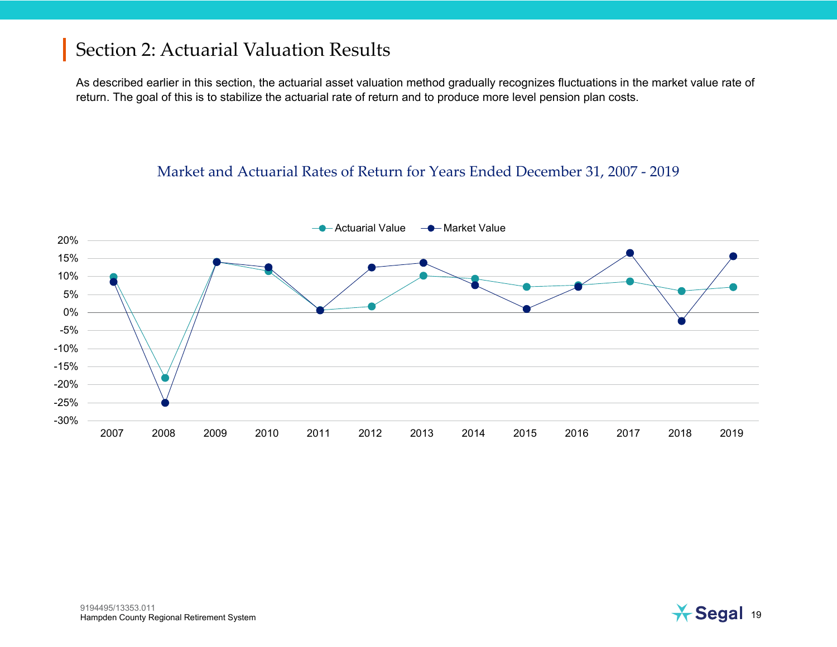As described earlier in this section, the actuarial asset valuation method gradually recognizes fluctuations in the market value rate of return. The goal of this is to stabilize the actuarial rate of return and to produce more level pension plan costs.

#### Market and Actuarial Rates of Return for Years Ended December 31, 2007 - 2019



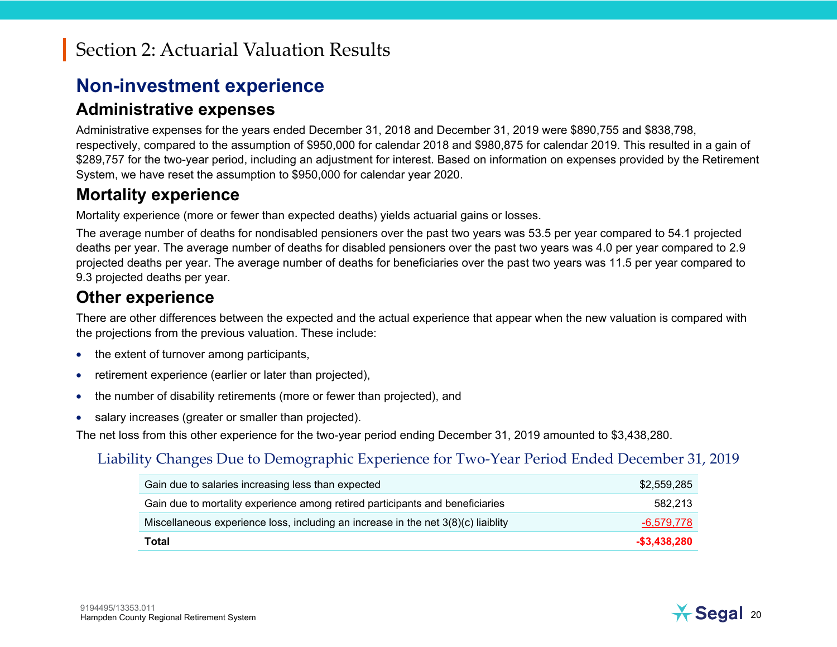#### **Non-investment experience**

#### **Administrative expenses**

Administrative expenses for the years ended December 31, 2018 and December 31, 2019 were \$890,755 and \$838,798, respectively, compared to the assumption of \$950,000 for calendar 2018 and \$980,875 for calendar 2019. This resulted in a gain of \$289,757 for the two-year period, including an adjustment for interest. Based on information on expenses provided by the Retirement System, we have reset the assumption to \$950,000 for calendar year 2020.

#### **Mortality experience**

Mortality experience (more or fewer than expected deaths) yields actuarial gains or losses.

The average number of deaths for nondisabled pensioners over the past two years was 53.5 per year compared to 54.1 projected deaths per year. The average number of deaths for disabled pensioners over the past two years was 4.0 per year compared to 2.9 projected deaths per year. The average number of deaths for beneficiaries over the past two years was 11.5 per year compared to 9.3 projected deaths per year.

#### **Other experience**

There are other differences between the expected and the actual experience that appear when the new valuation is compared with the projections from the previous valuation. These include:

- the extent of turnover among participants,
- •retirement experience (earlier or later than projected),
- •the number of disability retirements (more or fewer than projected), and
- •salary increases (greater or smaller than projected).

The net loss from this other experience for the two-year period ending December 31, 2019 amounted to \$3,438,280.

#### Liability Changes Due to Demographic Experience for Two-Year Period Ended December 31, 2019

| Gain due to salaries increasing less than expected                                  | \$2,559,285   |
|-------------------------------------------------------------------------------------|---------------|
| Gain due to mortality experience among retired participants and beneficiaries       | 582.213       |
| Miscellaneous experience loss, including an increase in the net $3(8)(c)$ liaiblity | -6,579,778    |
| Total                                                                               | $-$3,438,280$ |

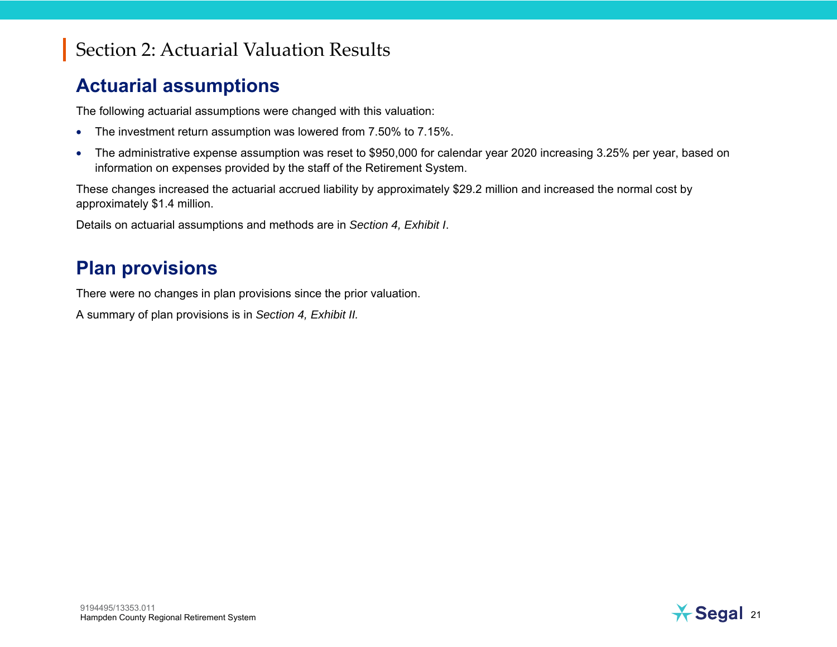#### **Actuarial assumptions**

The following actuarial assumptions were changed with this valuation:

- $\bullet$ The investment return assumption was lowered from 7.50% to 7.15%.
- • The administrative expense assumption was reset to \$950,000 for calendar year 2020 increasing 3.25% per year, based on information on expenses provided by the staff of the Retirement System.

These changes increased the actuarial accrued liability by approximately \$29.2 million and increased the normal cost by approximately \$1.4 million.

Details on actuarial assumptions and methods are in *Section 4, Exhibit I*.

#### **Plan provisions**

There were no changes in plan provisions since the prior valuation.

A summary of plan provisions is in *Section 4, Exhibit II.*

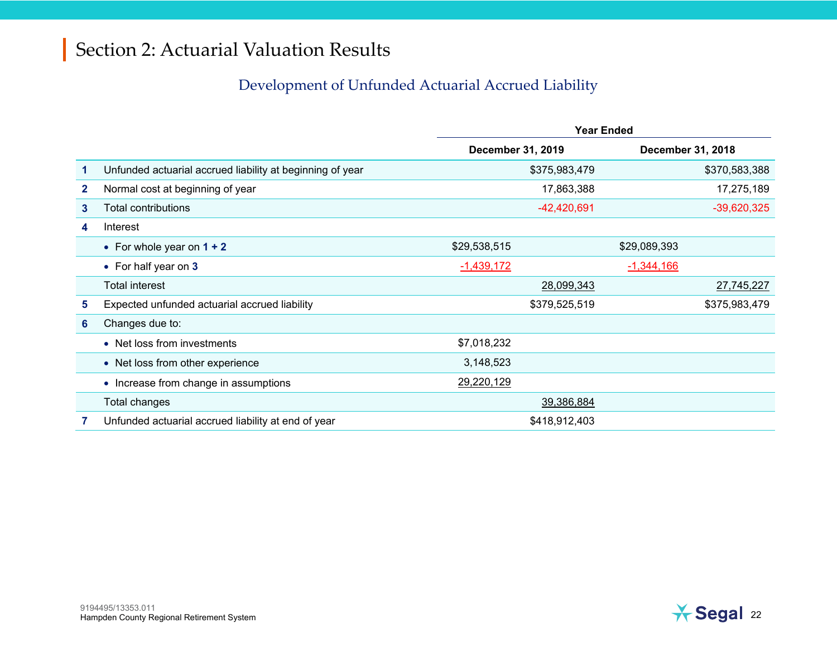#### Development of Unfunded Actuarial Accrued Liability

|   |                                                           | <b>Year Ended</b> |               |              |                   |
|---|-----------------------------------------------------------|-------------------|---------------|--------------|-------------------|
|   |                                                           | December 31, 2019 |               |              | December 31, 2018 |
| 1 | Unfunded actuarial accrued liability at beginning of year |                   | \$375,983,479 |              | \$370,583,388     |
| 2 | Normal cost at beginning of year                          |                   | 17,863,388    |              | 17,275,189        |
| 3 | <b>Total contributions</b>                                |                   | $-42,420,691$ |              | $-39,620,325$     |
| 4 | Interest                                                  |                   |               |              |                   |
|   | • For whole year on $1 + 2$                               | \$29,538,515      |               | \$29,089,393 |                   |
|   | • For half year on 3                                      | $-1,439,172$      |               | $-1,344,166$ |                   |
|   | <b>Total interest</b>                                     |                   | 28,099,343    |              | 27,745,227        |
| 5 | Expected unfunded actuarial accrued liability             |                   | \$379,525,519 |              | \$375,983,479     |
| 6 | Changes due to:                                           |                   |               |              |                   |
|   | • Net loss from investments                               | \$7,018,232       |               |              |                   |
|   | • Net loss from other experience                          | 3,148,523         |               |              |                   |
|   | • Increase from change in assumptions                     | 29,220,129        |               |              |                   |
|   | Total changes                                             |                   | 39,386,884    |              |                   |
|   | Unfunded actuarial accrued liability at end of year       |                   | \$418,912,403 |              |                   |

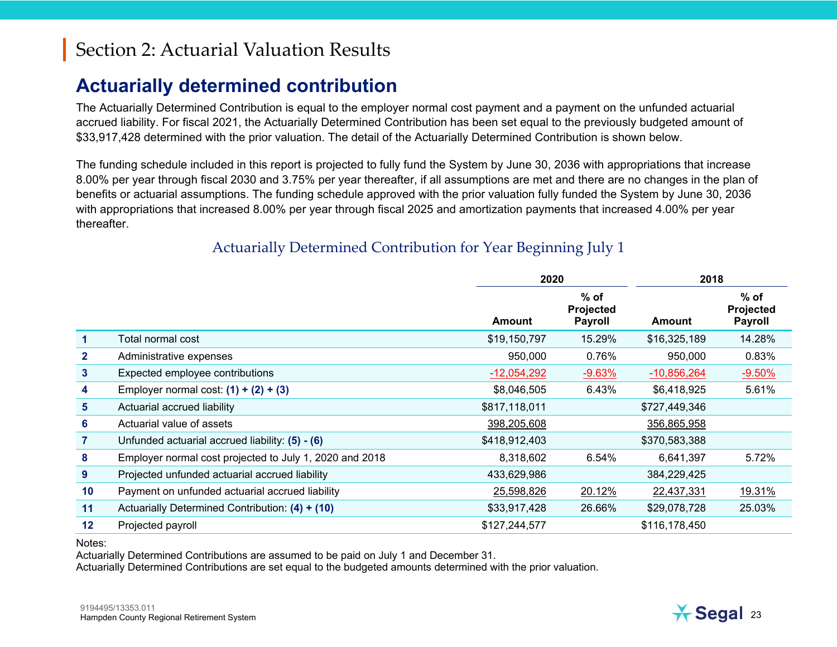#### **Actuarially determined contribution**

The Actuarially Determined Contribution is equal to the employer normal cost payment and a payment on the unfunded actuarial accrued liability. For fiscal 2021, the Actuarially Determined Contribution has been set equal to the previously budgeted amount of \$33,917,428 determined with the prior valuation. The detail of the Actuarially Determined Contribution is shown below.

The funding schedule included in this report is projected to fully fund the System by June 30, 2036 with appropriations that increase 8.00% per year through fiscal 2030 and 3.75% per year thereafter, if all assumptions are met and there are no changes in the plan of benefits or actuarial assumptions. The funding schedule approved with the prior valuation fully funded the System by June 30, 2036 with appropriations that increased 8.00% per year through fiscal 2025 and amortization payments that increased 4.00% per year thereafter.

|                   |                                                         |               | 2020                                  |               | 2018                                  |
|-------------------|---------------------------------------------------------|---------------|---------------------------------------|---------------|---------------------------------------|
|                   |                                                         | Amount        | $%$ of<br>Projected<br><b>Payroll</b> | Amount        | $%$ of<br>Projected<br><b>Payroll</b> |
| 1                 | Total normal cost                                       | \$19,150,797  | 15.29%                                | \$16,325,189  | 14.28%                                |
| $\mathbf{2}$      | Administrative expenses                                 | 950,000       | 0.76%                                 | 950,000       | 0.83%                                 |
| $\mathbf{3}$      | Expected employee contributions                         | $-12,054,292$ | $-9.63%$                              | $-10,856,264$ | $-9.50%$                              |
| 4                 | Employer normal cost: $(1) + (2) + (3)$                 | \$8,046,505   | 6.43%                                 | \$6,418,925   | 5.61%                                 |
| 5                 | Actuarial accrued liability                             | \$817,118,011 |                                       | \$727,449,346 |                                       |
| 6                 | Actuarial value of assets                               | 398,205,608   |                                       | 356,865,958   |                                       |
| $\overline{7}$    | Unfunded actuarial accrued liability: (5) - (6)         | \$418,912,403 |                                       | \$370,583,388 |                                       |
| 8                 | Employer normal cost projected to July 1, 2020 and 2018 | 8,318,602     | 6.54%                                 | 6,641,397     | 5.72%                                 |
| 9                 | Projected unfunded actuarial accrued liability          | 433,629,986   |                                       | 384,229,425   |                                       |
| 10                | Payment on unfunded actuarial accrued liability         | 25,598,826    | 20.12%                                | 22,437,331    | 19.31%                                |
| 11                | Actuarially Determined Contribution: (4) + (10)         | \$33,917,428  | 26.66%                                | \$29,078,728  | 25.03%                                |
| $12 \overline{ }$ | Projected payroll                                       | \$127,244,577 |                                       | \$116,178,450 |                                       |

#### Actuarially Determined Contribution for Year Beginning July 1

Notes:

Actuarially Determined Contributions are assumed to be paid on July 1 and December 31.

Actuarially Determined Contributions are set equal to the budgeted amounts determined with the prior valuation.

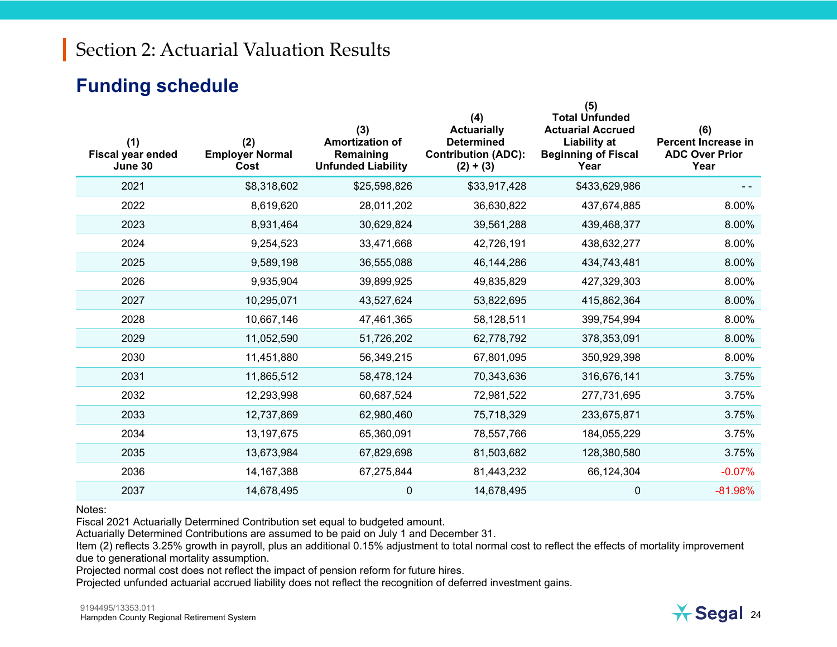#### **Funding schedule**

| (1)<br><b>Fiscal year ended</b><br>June 30 | (2)<br><b>Employer Normal</b><br>Cost | (3)<br><b>Amortization of</b><br>Remaining<br><b>Unfunded Liability</b> | (4)<br><b>Actuarially</b><br><b>Determined</b><br><b>Contribution (ADC):</b><br>$(2) + (3)$ | (5)<br><b>Total Unfunded</b><br><b>Actuarial Accrued</b><br><b>Liability at</b><br><b>Beginning of Fiscal</b><br>Year | (6)<br>Percent Increase in<br><b>ADC Over Prior</b><br>Year |
|--------------------------------------------|---------------------------------------|-------------------------------------------------------------------------|---------------------------------------------------------------------------------------------|-----------------------------------------------------------------------------------------------------------------------|-------------------------------------------------------------|
| 2021                                       | \$8,318,602                           | \$25,598,826                                                            | \$33,917,428                                                                                | \$433,629,986                                                                                                         |                                                             |
| 2022                                       | 8,619,620                             | 28,011,202                                                              | 36,630,822                                                                                  | 437,674,885                                                                                                           | 8.00%                                                       |
| 2023                                       | 8,931,464                             | 30,629,824                                                              | 39,561,288                                                                                  | 439,468,377                                                                                                           | 8.00%                                                       |
| 2024                                       | 9,254,523                             | 33,471,668                                                              | 42,726,191                                                                                  | 438,632,277                                                                                                           | 8.00%                                                       |
| 2025                                       | 9,589,198                             | 36,555,088                                                              | 46,144,286                                                                                  | 434,743,481                                                                                                           | 8.00%                                                       |
| 2026                                       | 9,935,904                             | 39,899,925                                                              | 49,835,829                                                                                  | 427,329,303                                                                                                           | 8.00%                                                       |
| 2027                                       | 10,295,071                            | 43,527,624                                                              | 53,822,695                                                                                  | 415,862,364                                                                                                           | 8.00%                                                       |
| 2028                                       | 10,667,146                            | 47,461,365                                                              | 58,128,511                                                                                  | 399,754,994                                                                                                           | 8.00%                                                       |
| 2029                                       | 11,052,590                            | 51,726,202                                                              | 62,778,792                                                                                  | 378,353,091                                                                                                           | 8.00%                                                       |
| 2030                                       | 11,451,880                            | 56,349,215                                                              | 67,801,095                                                                                  | 350,929,398                                                                                                           | 8.00%                                                       |
| 2031                                       | 11,865,512                            | 58,478,124                                                              | 70,343,636                                                                                  | 316,676,141                                                                                                           | 3.75%                                                       |
| 2032                                       | 12,293,998                            | 60,687,524                                                              | 72,981,522                                                                                  | 277,731,695                                                                                                           | 3.75%                                                       |
| 2033                                       | 12,737,869                            | 62,980,460                                                              | 75,718,329                                                                                  | 233,675,871                                                                                                           | 3.75%                                                       |
| 2034                                       | 13, 197, 675                          | 65,360,091                                                              | 78,557,766                                                                                  | 184,055,229                                                                                                           | 3.75%                                                       |
| 2035                                       | 13,673,984                            | 67,829,698                                                              | 81,503,682                                                                                  | 128,380,580                                                                                                           | 3.75%                                                       |
| 2036                                       | 14, 167, 388                          | 67,275,844                                                              | 81,443,232                                                                                  | 66,124,304                                                                                                            | $-0.07%$                                                    |
| 2037                                       | 14,678,495                            | 0                                                                       | 14,678,495                                                                                  | $\mathbf 0$                                                                                                           | $-81.98%$                                                   |

#### Notes:

Fiscal 2021 Actuarially Determined Contribution set equal to budgeted amount.

Actuarially Determined Contributions are assumed to be paid on July 1 and December 31.

Item (2) reflects 3.25% growth in payroll, plus an additional 0.15% adjustment to total normal cost to reflect the effects of mortality improvement due to generational mortality assumption.

Projected normal cost does not reflect the impact of pension reform for future hires.

Projected unfunded actuarial accrued liability does not reflect the recognition of deferred investment gains.

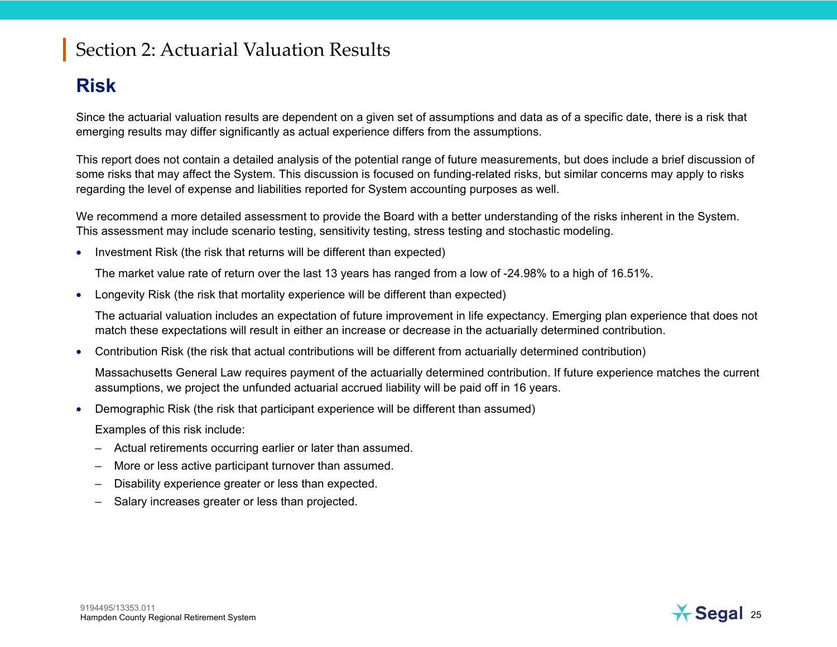#### **Risk**

Since the actuarial valuation results are dependent on a given set of assumptions and data as of a specific date, there is a risk that emerging results may differ significantly as actual experience differs from the assumptions.

This report does not contain a detailed analysis of the potential range of future measurements, but does include a brief discussion of some risks that may affect the System. This discussion is focused on funding-related risks, but similar concerns may apply to risks regarding the level of expense and liabilities reported for System accounting purposes as well.

We recommend a more detailed assessment to provide the Board with a better understanding of the risks inherent in the System. This assessment may include scenario testing, sensitivity testing, stress testing and stochastic modeling.

• Investment Risk (the risk that returns will be different than expected)

The market value rate of return over the last 13 years has ranged from a low of -24.98% to a high of 16.51%.

•Longevity Risk (the risk that mortality experience will be different than expected)

The actuarial valuation includes an expectation of future improvement in life expectancy. Emerging plan experience that does not match these expectations will result in either an increase or decrease in the actuarially determined contribution.

• Contribution Risk (the risk that actual contributions will be different from actuarially determined contribution)

Massachusetts General Law requires payment of the actuarially determined contribution. If future experience matches the current assumptions, we project the unfunded actuarial accrued liability will be paid off in 16 years.

•Demographic Risk (the risk that participant experience will be different than assumed)

Examples of this risk include:

- Actual retirements occurring earlier or later than assumed.
- More or less active participant turnover than assumed.
- Disability experience greater or less than expected.
- Salary increases greater or less than projected.



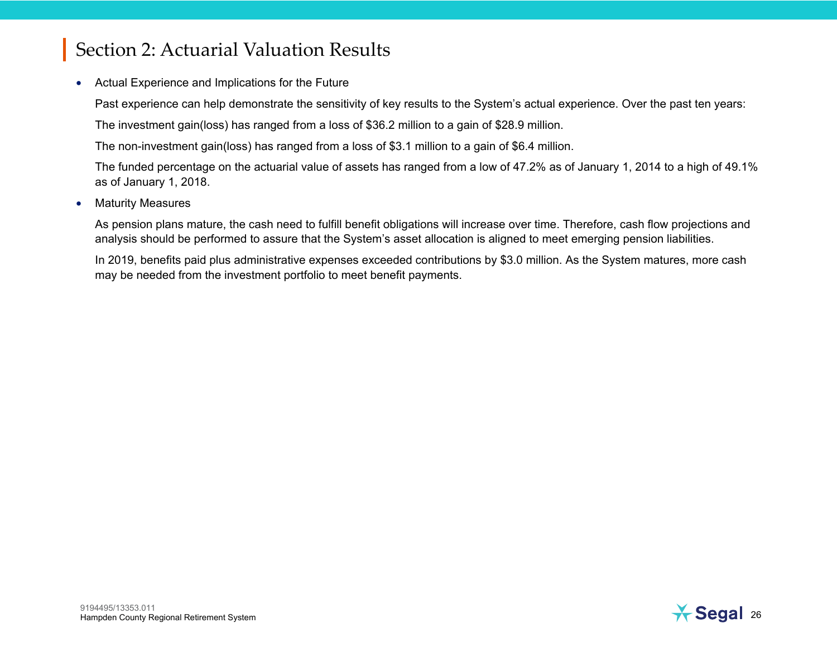• Actual Experience and Implications for the Future

Past experience can help demonstrate the sensitivity of key results to the System's actual experience. Over the past ten years:

The investment gain(loss) has ranged from a loss of \$36.2 million to a gain of \$28.9 million.

The non-investment gain(loss) has ranged from a loss of \$3.1 million to a gain of \$6.4 million.

The funded percentage on the actuarial value of assets has ranged from a low of 47.2% as of January 1, 2014 to a high of 49.1% as of January 1, 2018.

•Maturity Measures

> As pension plans mature, the cash need to fulfill benefit obligations will increase over time. Therefore, cash flow projections and analysis should be performed to assure that the System's asset allocation is aligned to meet emerging pension liabilities.

> In 2019, benefits paid plus administrative expenses exceeded contributions by \$3.0 million. As the System matures, more cash may be needed from the investment portfolio to meet benefit payments.

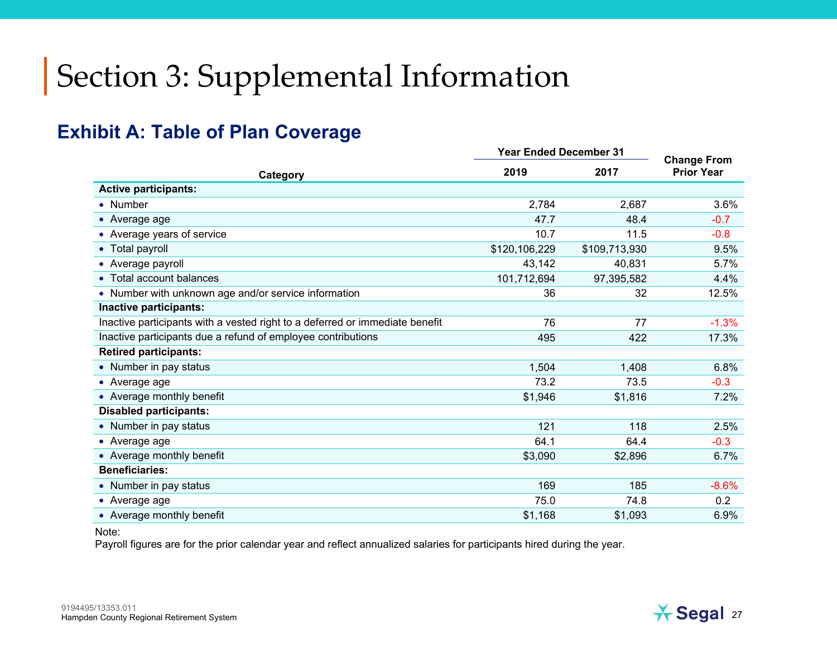#### **Exhibit A: Table of Plan Coverage**

|                                                                              | <b>Year Ended December 31</b> | <b>Change From</b> |                   |
|------------------------------------------------------------------------------|-------------------------------|--------------------|-------------------|
| Category                                                                     | 2019                          | 2017               | <b>Prior Year</b> |
| <b>Active participants:</b>                                                  |                               |                    |                   |
| • Number                                                                     | 2,784                         | 2,687              | 3.6%              |
| $\bullet$ Average age                                                        | 47.7                          | 48.4               | $-0.7$            |
| • Average years of service                                                   | 10.7                          | 11.5               | $-0.8$            |
| • Total payroll                                                              | \$120,106,229                 | \$109,713,930      | 9.5%              |
| • Average payroll                                                            | 43,142                        | 40,831             | 5.7%              |
| • Total account balances                                                     | 101,712,694                   | 97,395,582         | 4.4%              |
| • Number with unknown age and/or service information                         | 36                            | 32                 | 12.5%             |
| Inactive participants:                                                       |                               |                    |                   |
| Inactive participants with a vested right to a deferred or immediate benefit | 76                            | 77                 | $-1.3%$           |
| Inactive participants due a refund of employee contributions                 | 495                           | 422                | 17.3%             |
| <b>Retired participants:</b>                                                 |                               |                    |                   |
| • Number in pay status                                                       | 1,504                         | 1,408              | 6.8%              |
| • Average age                                                                | 73.2                          | 73.5               | $-0.3$            |
| • Average monthly benefit                                                    | \$1,946                       | \$1,816            | 7.2%              |
| <b>Disabled participants:</b>                                                |                               |                    |                   |
| • Number in pay status                                                       | 121                           | 118                | 2.5%              |
| • Average age                                                                | 64.1                          | 64.4               | $-0.3$            |
| • Average monthly benefit                                                    | \$3,090                       | \$2,896            | 6.7%              |
| <b>Beneficiaries:</b>                                                        |                               |                    |                   |
| • Number in pay status                                                       | 169                           | 185                | $-8.6%$           |
| • Average age                                                                | 75.0                          | 74.8               | 0.2               |
| • Average monthly benefit                                                    | \$1,168                       | \$1,093            | 6.9%              |

Note:

Payroll figures are for the prior calendar year and reflect annualized salaries for participants hired during the year.

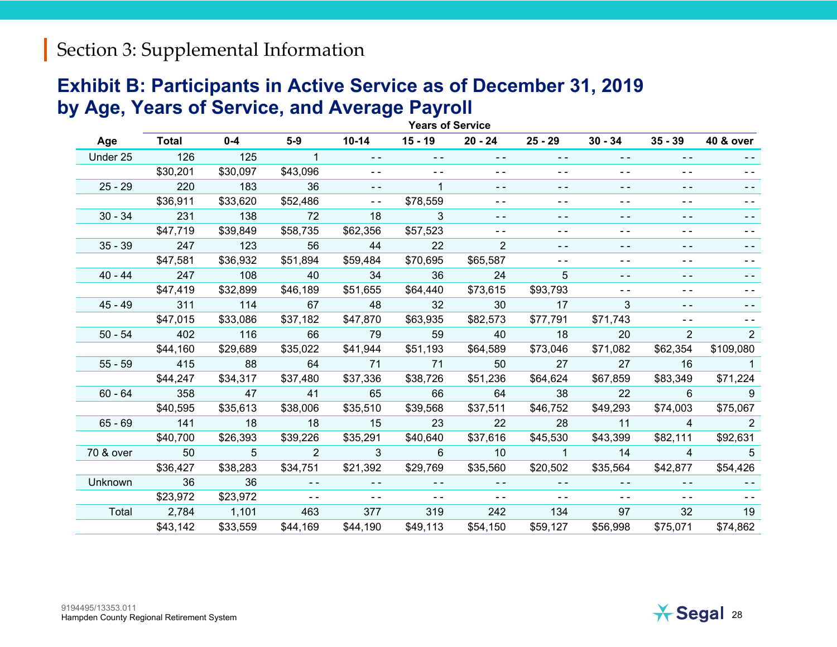#### **Exhibit B: Participants in Active Service as of December 31, 2019 by Age, Years of Service, and Average Payroll**

|           | <b>Years of Service</b> |                |               |               |               |                |                            |                                          |                |                            |
|-----------|-------------------------|----------------|---------------|---------------|---------------|----------------|----------------------------|------------------------------------------|----------------|----------------------------|
| Age       | <b>Total</b>            | $0 - 4$        | $5-9$         | $10 - 14$     | $15 - 19$     | 20 - 24        | $25 - 29$                  | $30 - 34$                                | $35 - 39$      | <b>40 &amp; over</b>       |
| Under 25  | 126                     | 125            | $\mathbf{1}$  | $\sim$ $\sim$ | $\sim$ $\sim$ | $\sim$ $\sim$  | $ -$                       | $ -$                                     | $\sim$ $\sim$  | $- -$                      |
|           | \$30,201                | \$30,097       | \$43,096      | $\frac{1}{2}$ | $\frac{1}{2}$ | $ -$           | $\sim$ $\sim$              | $ -$                                     | $\frac{1}{2}$  | - -                        |
| $25 - 29$ | 220                     | 183            | 36            | $\sim$ $\sim$ |               | $\overline{a}$ | $ -$                       | - -                                      | $ -$           |                            |
|           | \$36,911                | \$33,620       | \$52,486      | $\sim$ $\sim$ | \$78,559      | $\sim$ $\sim$  | $\sim$ $\sim$              | $ -$                                     | $\sim$ $\sim$  | $\sim$ $\sim$              |
| $30 - 34$ | 231                     | 138            | 72            | 18            | 3             | $\sim$ $-$     | $\sim$ $-$                 | - -                                      | $\sim$ $-$     | - -                        |
|           | \$47,719                | \$39,849       | \$58,735      | \$62,356      | \$57,523      | $\sim$ $\sim$  | $\sim$ $\sim$              | $ -$                                     | $ -$           |                            |
| $35 - 39$ | 247                     | 123            | 56            | 44            | 22            | 2              | $ -$                       | $- -$                                    | $\frac{1}{2}$  | - -                        |
|           | \$47,581                | \$36,932       | \$51,894      | \$59,484      | \$70,695      | \$65,587       | $\sim$ $\sim$              | $\sim$ $\sim$                            | $\sim$ $\sim$  | ۰.                         |
| $40 - 44$ | 247                     | 108            | 40            | 34            | 36            | 24             | $5^{\circ}$                | $ -$                                     | $\overline{a}$ |                            |
|           | \$47,419                | \$32,899       | \$46,189      | \$51,655      | \$64,440      | \$73,615       | \$93,793                   | ۰.                                       | $\frac{1}{2}$  |                            |
| $45 - 49$ | 311                     | 114            | 67            | 48            | 32            | 30             | 17                         | 3                                        | $- -$          | - -                        |
|           | \$47,015                | \$33,086       | \$37,182      | \$47,870      | \$63,935      | \$82,573       | \$77,791                   | \$71,743                                 | $\frac{1}{2}$  |                            |
| $50 - 54$ | 402                     | 116            | 66            | - 79          | 59            | 40             | $\sim$ 18                  | 20                                       | $\overline{2}$ | 2                          |
|           | \$44,160                | \$29,689       | \$35,022      | \$41,944      | \$51,193      | \$64,589       | \$73,046                   | \$71,082                                 | \$62,354       | \$109,080                  |
| $55 - 59$ | 415                     | 88             | 64            | 71            | 71            | 50             | 27                         | 27                                       | 16             | $\overline{\phantom{1}}$   |
|           | \$44,247                | \$34,317       | \$37,480      | \$37,336      | \$38,726      | \$51,236       | \$64,624                   | \$67,859                                 | \$83,349       | \$71,224                   |
| $60 - 64$ | 358                     | 47             | 41            | 65            | 66            | 64             | 38                         | 22                                       | 6.             | 9                          |
|           | \$40,595                | \$35,613       | \$38,006      | \$35,510      | \$39,568      | \$37,511       | \$46,752                   | \$49,293                                 | \$74,003       | \$75,067                   |
| $65 - 69$ | 141                     | 18             | 18            | 15            | 23            | 22             | 28                         | 11                                       | $\overline{4}$ | $\overline{\phantom{a}}$ 2 |
|           | \$40,700                | \$26,393       | \$39,226      | \$35,291      | \$40,640      | \$37,616       | \$45,530                   | \$43,399                                 | \$82,111       | \$92,631                   |
| 70 & over | 50                      | $\overline{5}$ | 2             | $\mathbf{3}$  | 6             | 10             | $\overline{\phantom{1}}$ 1 | 14                                       | $\overline{4}$ | 5                          |
|           | \$36,427                | \$38,283       | \$34,751      | \$21,392      | \$29,769      | \$35,560       | \$20,502                   | \$35,564                                 | \$42,877       | \$54,426                   |
| Unknown   | 36                      | 36             | $- -$         | $\sim$ $\sim$ | $\sim$ $\sim$ | $\sim$ $\sim$  | $\sim$ $\sim$              | $\frac{1}{2} \left( \frac{1}{2} \right)$ | $\sim$ $\sim$  |                            |
|           | \$23,972                | \$23,972       | $\sim$ $\sim$ | $\sim$ $\sim$ | $\sim$ $\sim$ | $\sim$ $\sim$  | $\sim$ $\sim$              | - -                                      |                |                            |
| Total     | 2,784                   | 1,101          | 463           | 377           | 319           | 242            | 134                        | 97                                       | 32             | 19                         |
|           | \$43,142                | \$33,559       | \$44,169      | \$44,190      | \$49,113      | \$54,150       | \$59,127                   | \$56,998                                 | \$75,071       | \$74,862                   |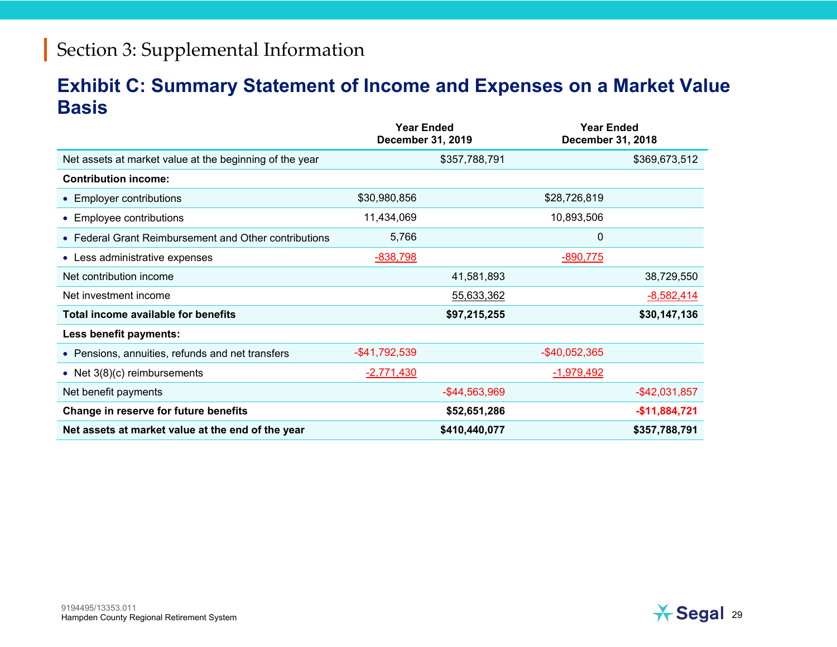#### **Exhibit C: Summary Statement of Income and Expenses on a Market Value Basis**

|                                                         | <b>Year Ended</b><br>December 31, 2019 |                  | <b>Year Ended</b><br>December 31, 2018 |                  |
|---------------------------------------------------------|----------------------------------------|------------------|----------------------------------------|------------------|
| Net assets at market value at the beginning of the year |                                        | \$357,788,791    |                                        | \$369,673,512    |
| <b>Contribution income:</b>                             |                                        |                  |                                        |                  |
| • Employer contributions                                | \$30,980,856                           |                  | \$28,726,819                           |                  |
| • Employee contributions                                | 11,434,069                             |                  | 10,893,506                             |                  |
| • Federal Grant Reimbursement and Other contributions   | 5,766                                  |                  | 0                                      |                  |
| • Less administrative expenses                          | $-838,798$                             |                  | $-890,775$                             |                  |
| Net contribution income                                 |                                        | 41,581,893       |                                        | 38,729,550       |
| Net investment income                                   |                                        | 55,633,362       |                                        | $-8,582,414$     |
| Total income available for benefits                     |                                        | \$97,215,255     |                                        | \$30,147,136     |
| Less benefit payments:                                  |                                        |                  |                                        |                  |
| • Pensions, annuities, refunds and net transfers        | -\$41,792,539                          |                  | -\$40,052,365                          |                  |
| • Net $3(8)(c)$ reimbursements                          | $-2,771,430$                           |                  | $-1,979,492$                           |                  |
| Net benefit payments                                    |                                        | $-$ \$44,563,969 |                                        | $-$ \$42,031,857 |
| Change in reserve for future benefits                   |                                        | \$52,651,286     |                                        | $-$11,884,721$   |
| Net assets at market value at the end of the year       |                                        | \$410,440,077    |                                        | \$357,788,791    |

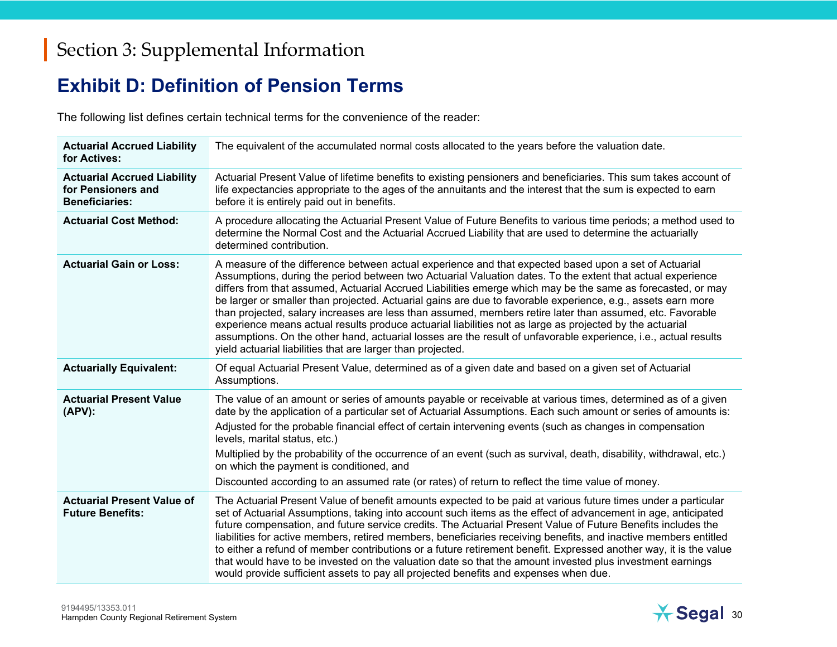#### **Exhibit D: Definition of Pension Terms**

The following list defines certain technical terms for the convenience of the reader:

| <b>Actuarial Accrued Liability</b><br>for Actives:                                | The equivalent of the accumulated normal costs allocated to the years before the valuation date.                                                                                                                                                                                                                                                                                                                                                                                                                                                                                                                                                                                                                                                                                                                                                              |
|-----------------------------------------------------------------------------------|---------------------------------------------------------------------------------------------------------------------------------------------------------------------------------------------------------------------------------------------------------------------------------------------------------------------------------------------------------------------------------------------------------------------------------------------------------------------------------------------------------------------------------------------------------------------------------------------------------------------------------------------------------------------------------------------------------------------------------------------------------------------------------------------------------------------------------------------------------------|
| <b>Actuarial Accrued Liability</b><br>for Pensioners and<br><b>Beneficiaries:</b> | Actuarial Present Value of lifetime benefits to existing pensioners and beneficiaries. This sum takes account of<br>life expectancies appropriate to the ages of the annuitants and the interest that the sum is expected to earn<br>before it is entirely paid out in benefits.                                                                                                                                                                                                                                                                                                                                                                                                                                                                                                                                                                              |
| <b>Actuarial Cost Method:</b>                                                     | A procedure allocating the Actuarial Present Value of Future Benefits to various time periods; a method used to<br>determine the Normal Cost and the Actuarial Accrued Liability that are used to determine the actuarially<br>determined contribution.                                                                                                                                                                                                                                                                                                                                                                                                                                                                                                                                                                                                       |
| <b>Actuarial Gain or Loss:</b>                                                    | A measure of the difference between actual experience and that expected based upon a set of Actuarial<br>Assumptions, during the period between two Actuarial Valuation dates. To the extent that actual experience<br>differs from that assumed, Actuarial Accrued Liabilities emerge which may be the same as forecasted, or may<br>be larger or smaller than projected. Actuarial gains are due to favorable experience, e.g., assets earn more<br>than projected, salary increases are less than assumed, members retire later than assumed, etc. Favorable<br>experience means actual results produce actuarial liabilities not as large as projected by the actuarial<br>assumptions. On the other hand, actuarial losses are the result of unfavorable experience, i.e., actual results<br>yield actuarial liabilities that are larger than projected. |
| <b>Actuarially Equivalent:</b>                                                    | Of equal Actuarial Present Value, determined as of a given date and based on a given set of Actuarial<br>Assumptions.                                                                                                                                                                                                                                                                                                                                                                                                                                                                                                                                                                                                                                                                                                                                         |
| <b>Actuarial Present Value</b><br>$(APV)$ :                                       | The value of an amount or series of amounts payable or receivable at various times, determined as of a given<br>date by the application of a particular set of Actuarial Assumptions. Each such amount or series of amounts is:<br>Adjusted for the probable financial effect of certain intervening events (such as changes in compensation<br>levels, marital status, etc.)<br>Multiplied by the probability of the occurrence of an event (such as survival, death, disability, withdrawal, etc.)<br>on which the payment is conditioned, and<br>Discounted according to an assumed rate (or rates) of return to reflect the time value of money.                                                                                                                                                                                                          |
| <b>Actuarial Present Value of</b><br><b>Future Benefits:</b>                      | The Actuarial Present Value of benefit amounts expected to be paid at various future times under a particular<br>set of Actuarial Assumptions, taking into account such items as the effect of advancement in age, anticipated<br>future compensation, and future service credits. The Actuarial Present Value of Future Benefits includes the<br>liabilities for active members, retired members, beneficiaries receiving benefits, and inactive members entitled<br>to either a refund of member contributions or a future retirement benefit. Expressed another way, it is the value<br>that would have to be invested on the valuation date so that the amount invested plus investment earnings<br>would provide sufficient assets to pay all projected benefits and expenses when due.                                                                  |

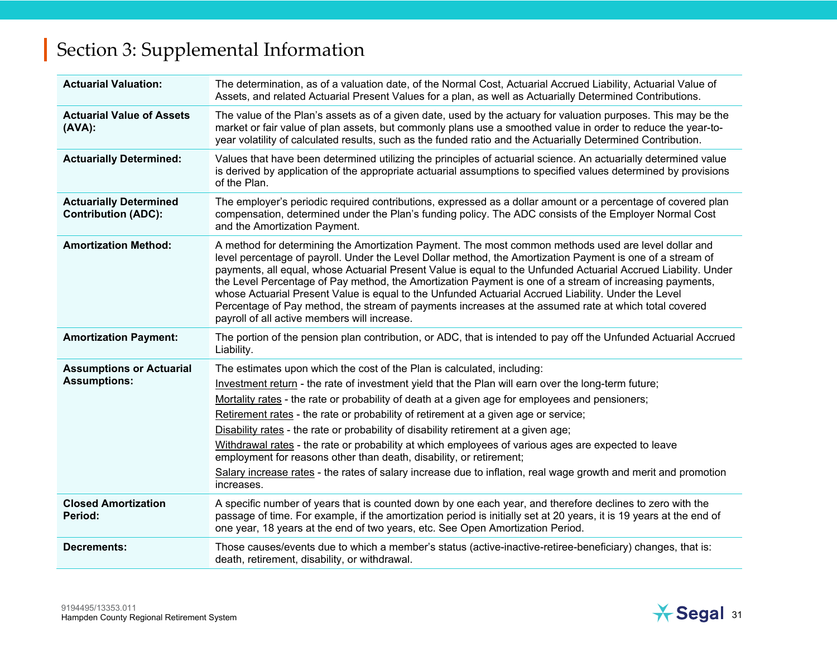| <b>Actuarial Valuation:</b>                                 | The determination, as of a valuation date, of the Normal Cost, Actuarial Accrued Liability, Actuarial Value of<br>Assets, and related Actuarial Present Values for a plan, as well as Actuarially Determined Contributions.                                                                                                                                                                                                                                                                                                                                                                                                                                                                                                                                                    |
|-------------------------------------------------------------|--------------------------------------------------------------------------------------------------------------------------------------------------------------------------------------------------------------------------------------------------------------------------------------------------------------------------------------------------------------------------------------------------------------------------------------------------------------------------------------------------------------------------------------------------------------------------------------------------------------------------------------------------------------------------------------------------------------------------------------------------------------------------------|
| <b>Actuarial Value of Assets</b><br>$(AVA)$ :               | The value of the Plan's assets as of a given date, used by the actuary for valuation purposes. This may be the<br>market or fair value of plan assets, but commonly plans use a smoothed value in order to reduce the year-to-<br>year volatility of calculated results, such as the funded ratio and the Actuarially Determined Contribution.                                                                                                                                                                                                                                                                                                                                                                                                                                 |
| <b>Actuarially Determined:</b>                              | Values that have been determined utilizing the principles of actuarial science. An actuarially determined value<br>is derived by application of the appropriate actuarial assumptions to specified values determined by provisions<br>of the Plan.                                                                                                                                                                                                                                                                                                                                                                                                                                                                                                                             |
| <b>Actuarially Determined</b><br><b>Contribution (ADC):</b> | The employer's periodic required contributions, expressed as a dollar amount or a percentage of covered plan<br>compensation, determined under the Plan's funding policy. The ADC consists of the Employer Normal Cost<br>and the Amortization Payment.                                                                                                                                                                                                                                                                                                                                                                                                                                                                                                                        |
| <b>Amortization Method:</b>                                 | A method for determining the Amortization Payment. The most common methods used are level dollar and<br>level percentage of payroll. Under the Level Dollar method, the Amortization Payment is one of a stream of<br>payments, all equal, whose Actuarial Present Value is equal to the Unfunded Actuarial Accrued Liability. Under<br>the Level Percentage of Pay method, the Amortization Payment is one of a stream of increasing payments,<br>whose Actuarial Present Value is equal to the Unfunded Actuarial Accrued Liability. Under the Level<br>Percentage of Pay method, the stream of payments increases at the assumed rate at which total covered<br>payroll of all active members will increase.                                                                |
| <b>Amortization Payment:</b>                                | The portion of the pension plan contribution, or ADC, that is intended to pay off the Unfunded Actuarial Accrued<br>Liability.                                                                                                                                                                                                                                                                                                                                                                                                                                                                                                                                                                                                                                                 |
| <b>Assumptions or Actuarial</b><br><b>Assumptions:</b>      | The estimates upon which the cost of the Plan is calculated, including:<br>Investment return - the rate of investment yield that the Plan will earn over the long-term future;<br>Mortality rates - the rate or probability of death at a given age for employees and pensioners;<br>Retirement rates - the rate or probability of retirement at a given age or service;<br>Disability rates - the rate or probability of disability retirement at a given age;<br>Withdrawal rates - the rate or probability at which employees of various ages are expected to leave<br>employment for reasons other than death, disability, or retirement;<br>Salary increase rates - the rates of salary increase due to inflation, real wage growth and merit and promotion<br>increases. |
| <b>Closed Amortization</b><br>Period:                       | A specific number of years that is counted down by one each year, and therefore declines to zero with the<br>passage of time. For example, if the amortization period is initially set at 20 years, it is 19 years at the end of<br>one year, 18 years at the end of two years, etc. See Open Amortization Period.                                                                                                                                                                                                                                                                                                                                                                                                                                                             |
| <b>Decrements:</b>                                          | Those causes/events due to which a member's status (active-inactive-retiree-beneficiary) changes, that is:<br>death, retirement, disability, or withdrawal.                                                                                                                                                                                                                                                                                                                                                                                                                                                                                                                                                                                                                    |

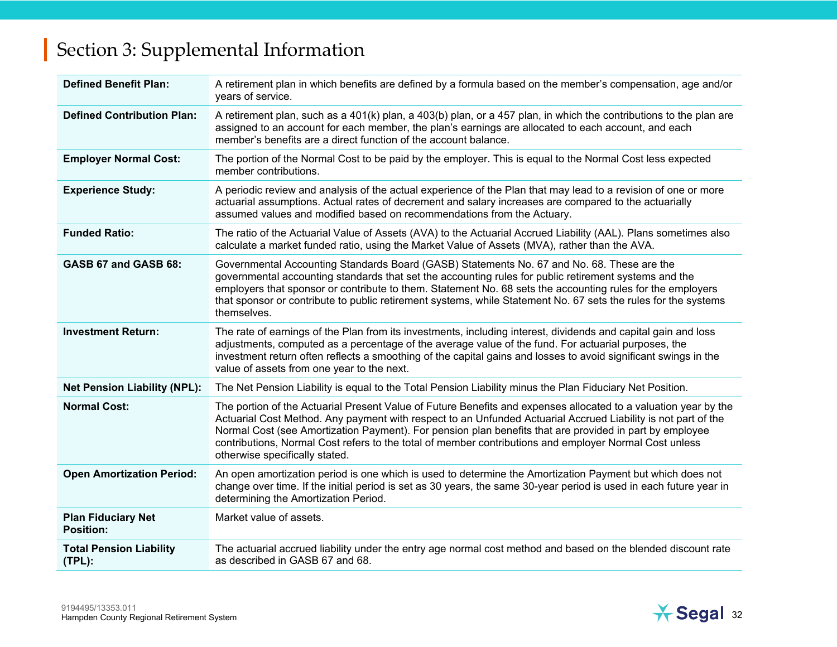| <b>Defined Benefit Plan:</b>                  | A retirement plan in which benefits are defined by a formula based on the member's compensation, age and/or<br>years of service.                                                                                                                                                                                                                                                                                                                                                        |
|-----------------------------------------------|-----------------------------------------------------------------------------------------------------------------------------------------------------------------------------------------------------------------------------------------------------------------------------------------------------------------------------------------------------------------------------------------------------------------------------------------------------------------------------------------|
| <b>Defined Contribution Plan:</b>             | A retirement plan, such as a 401(k) plan, a 403(b) plan, or a 457 plan, in which the contributions to the plan are<br>assigned to an account for each member, the plan's earnings are allocated to each account, and each<br>member's benefits are a direct function of the account balance.                                                                                                                                                                                            |
| <b>Employer Normal Cost:</b>                  | The portion of the Normal Cost to be paid by the employer. This is equal to the Normal Cost less expected<br>member contributions.                                                                                                                                                                                                                                                                                                                                                      |
| <b>Experience Study:</b>                      | A periodic review and analysis of the actual experience of the Plan that may lead to a revision of one or more<br>actuarial assumptions. Actual rates of decrement and salary increases are compared to the actuarially<br>assumed values and modified based on recommendations from the Actuary.                                                                                                                                                                                       |
| <b>Funded Ratio:</b>                          | The ratio of the Actuarial Value of Assets (AVA) to the Actuarial Accrued Liability (AAL). Plans sometimes also<br>calculate a market funded ratio, using the Market Value of Assets (MVA), rather than the AVA.                                                                                                                                                                                                                                                                        |
| GASB 67 and GASB 68:                          | Governmental Accounting Standards Board (GASB) Statements No. 67 and No. 68. These are the<br>governmental accounting standards that set the accounting rules for public retirement systems and the<br>employers that sponsor or contribute to them. Statement No. 68 sets the accounting rules for the employers<br>that sponsor or contribute to public retirement systems, while Statement No. 67 sets the rules for the systems<br>themselves.                                      |
| <b>Investment Return:</b>                     | The rate of earnings of the Plan from its investments, including interest, dividends and capital gain and loss<br>adjustments, computed as a percentage of the average value of the fund. For actuarial purposes, the<br>investment return often reflects a smoothing of the capital gains and losses to avoid significant swings in the<br>value of assets from one year to the next.                                                                                                  |
| <b>Net Pension Liability (NPL):</b>           | The Net Pension Liability is equal to the Total Pension Liability minus the Plan Fiduciary Net Position.                                                                                                                                                                                                                                                                                                                                                                                |
| <b>Normal Cost:</b>                           | The portion of the Actuarial Present Value of Future Benefits and expenses allocated to a valuation year by the<br>Actuarial Cost Method. Any payment with respect to an Unfunded Actuarial Accrued Liability is not part of the<br>Normal Cost (see Amortization Payment). For pension plan benefits that are provided in part by employee<br>contributions, Normal Cost refers to the total of member contributions and employer Normal Cost unless<br>otherwise specifically stated. |
| <b>Open Amortization Period:</b>              | An open amortization period is one which is used to determine the Amortization Payment but which does not<br>change over time. If the initial period is set as 30 years, the same 30-year period is used in each future year in<br>determining the Amortization Period.                                                                                                                                                                                                                 |
| <b>Plan Fiduciary Net</b><br><b>Position:</b> | Market value of assets.                                                                                                                                                                                                                                                                                                                                                                                                                                                                 |
| <b>Total Pension Liability</b><br>$(TPL)$ :   | The actuarial accrued liability under the entry age normal cost method and based on the blended discount rate<br>as described in GASB 67 and 68.                                                                                                                                                                                                                                                                                                                                        |

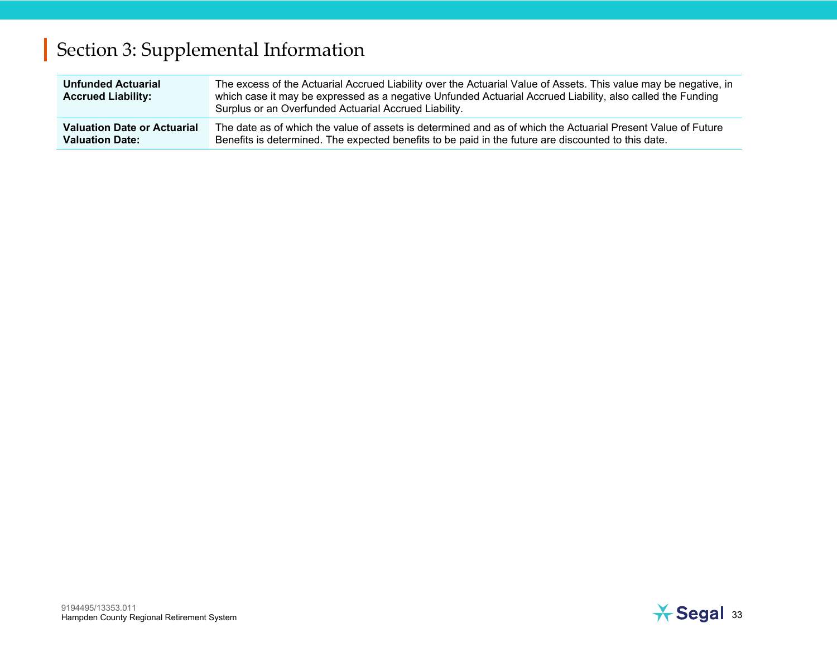| <b>Unfunded Actuarial</b><br><b>Accrued Liability:</b> | The excess of the Actuarial Accrued Liability over the Actuarial Value of Assets. This value may be negative, in<br>which case it may be expressed as a negative Unfunded Actuarial Accrued Liability, also called the Funding<br>Surplus or an Overfunded Actuarial Accrued Liability. |
|--------------------------------------------------------|-----------------------------------------------------------------------------------------------------------------------------------------------------------------------------------------------------------------------------------------------------------------------------------------|
| <b>Valuation Date or Actuarial</b>                     | The date as of which the value of assets is determined and as of which the Actuarial Present Value of Future                                                                                                                                                                            |
| <b>Valuation Date:</b>                                 | Benefits is determined. The expected benefits to be paid in the future are discounted to this date.                                                                                                                                                                                     |

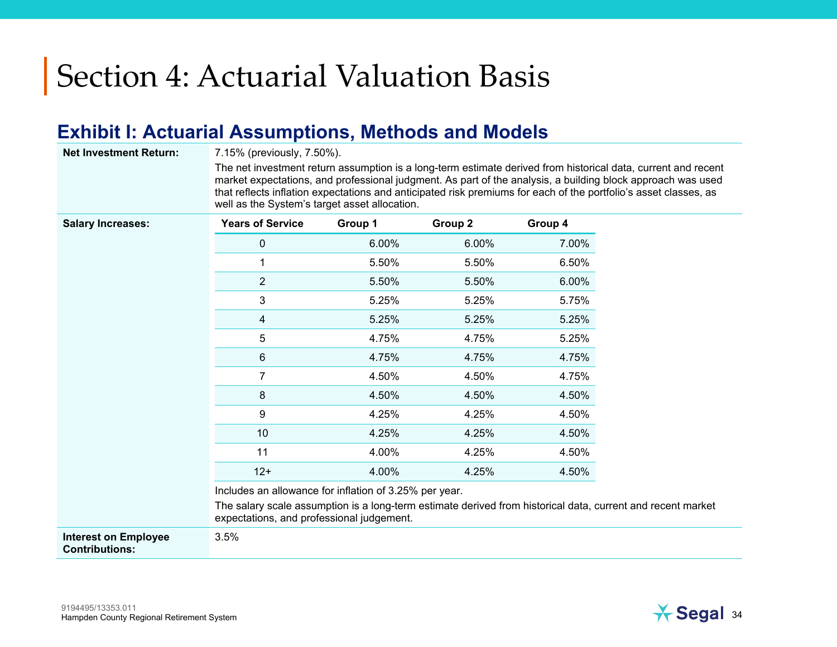#### **Exhibit I: Actuarial Assumptions, Methods and Models**

**Net Investment Return:** 7.15% (previously, 7.50%).

The net investment return assumption is a long-term estimate derived from historical data, current and recent market expectations, and professional judgment. As part of the analysis, a building block approach was used that reflects inflation expectations and anticipated risk premiums for each of the portfolio's asset classes, as well as the System's target asset allocation.

| <b>Salary Increases:</b> | <b>Years of Service</b>                                                                                                                                  | Group 1 | Group 2 | Group 4 |
|--------------------------|----------------------------------------------------------------------------------------------------------------------------------------------------------|---------|---------|---------|
|                          | $\mathbf 0$                                                                                                                                              | 6.00%   | 6.00%   | 7.00%   |
|                          | 1                                                                                                                                                        | 5.50%   | 5.50%   | 6.50%   |
|                          | $\overline{2}$                                                                                                                                           | 5.50%   | 5.50%   | 6.00%   |
|                          | 3                                                                                                                                                        | 5.25%   | 5.25%   | 5.75%   |
|                          | 4                                                                                                                                                        | 5.25%   | 5.25%   | 5.25%   |
|                          | 5                                                                                                                                                        | 4.75%   | 4.75%   | 5.25%   |
|                          | 6                                                                                                                                                        | 4.75%   | 4.75%   | 4.75%   |
|                          | 7                                                                                                                                                        | 4.50%   | 4.50%   | 4.75%   |
|                          | 8                                                                                                                                                        | 4.50%   | 4.50%   | 4.50%   |
|                          | 9                                                                                                                                                        | 4.25%   | 4.25%   | 4.50%   |
|                          | 10                                                                                                                                                       | 4.25%   | 4.25%   | 4.50%   |
|                          | 11                                                                                                                                                       | 4.00%   | 4.25%   | 4.50%   |
|                          | $12+$                                                                                                                                                    | 4.00%   | 4.25%   | 4.50%   |
|                          | Includes an allowance for inflation of 3.25% per year.                                                                                                   |         |         |         |
|                          | The salary scale assumption is a long-term estimate derived from historical data, current and recent market<br>expectations, and professional judgement. |         |         |         |

**Interest on Employee Contributions:** 

3.5%

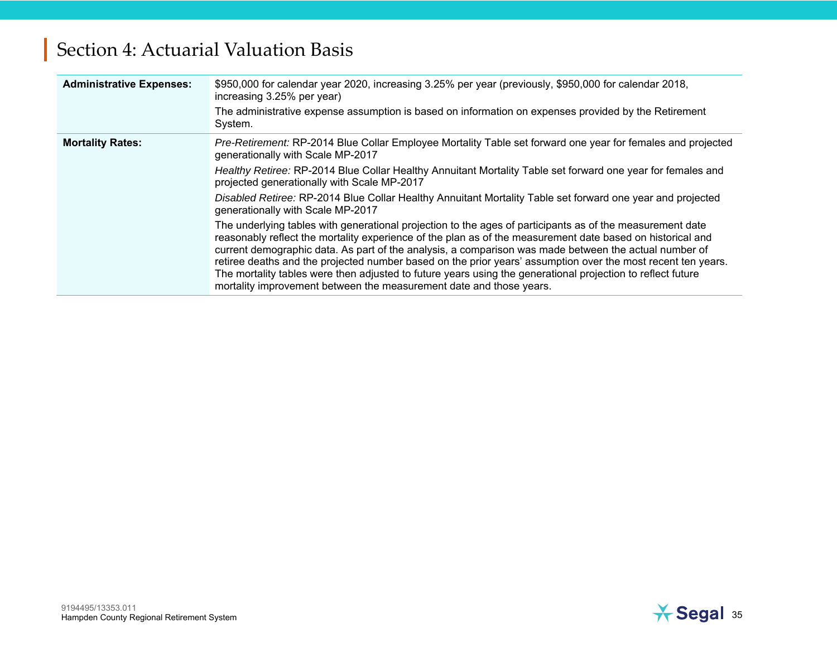| <b>Administrative Expenses:</b> | \$950,000 for calendar year 2020, increasing 3.25% per year (previously, \$950,000 for calendar 2018,<br>increasing 3.25% per year)<br>The administrative expense assumption is based on information on expenses provided by the Retirement<br>System.                                                                                                                                                                                                                                                                                                                                                                                                                                                                                                                                                                                                                                                                                                                                                                                                                                                      |
|---------------------------------|-------------------------------------------------------------------------------------------------------------------------------------------------------------------------------------------------------------------------------------------------------------------------------------------------------------------------------------------------------------------------------------------------------------------------------------------------------------------------------------------------------------------------------------------------------------------------------------------------------------------------------------------------------------------------------------------------------------------------------------------------------------------------------------------------------------------------------------------------------------------------------------------------------------------------------------------------------------------------------------------------------------------------------------------------------------------------------------------------------------|
| <b>Mortality Rates:</b>         | Pre-Retirement: RP-2014 Blue Collar Employee Mortality Table set forward one year for females and projected<br>generationally with Scale MP-2017<br>Healthy Retiree: RP-2014 Blue Collar Healthy Annuitant Mortality Table set forward one year for females and<br>projected generationally with Scale MP-2017<br>Disabled Retiree: RP-2014 Blue Collar Healthy Annuitant Mortality Table set forward one year and projected<br>generationally with Scale MP-2017<br>The underlying tables with generational projection to the ages of participants as of the measurement date<br>reasonably reflect the mortality experience of the plan as of the measurement date based on historical and<br>current demographic data. As part of the analysis, a comparison was made between the actual number of<br>retiree deaths and the projected number based on the prior years' assumption over the most recent ten years.<br>The mortality tables were then adjusted to future years using the generational projection to reflect future<br>mortality improvement between the measurement date and those years. |

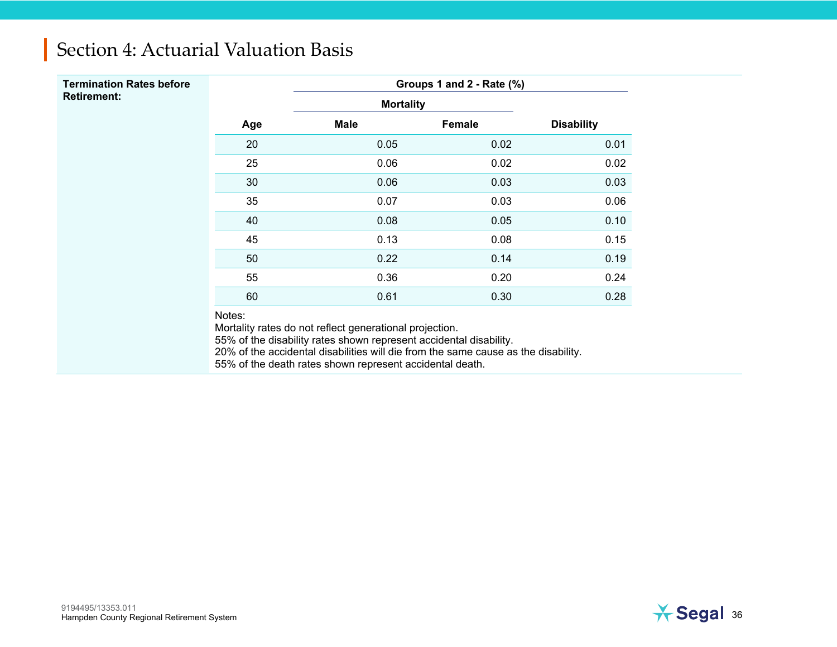| <b>Termination Rates before</b> |     |                  | Groups 1 and 2 - Rate (%) |                   |
|---------------------------------|-----|------------------|---------------------------|-------------------|
| <b>Retirement:</b>              |     | <b>Mortality</b> |                           |                   |
|                                 | Age | <b>Male</b>      | Female                    | <b>Disability</b> |
|                                 | 20  | 0.05             | 0.02                      | 0.01              |
|                                 | 25  | 0.06             | 0.02                      | 0.02              |
|                                 | 30  | 0.06             | 0.03                      | 0.03              |
|                                 | 35  | 0.07             | 0.03                      | 0.06              |
|                                 | 40  | 0.08             | 0.05                      | 0.10              |
|                                 | 45  | 0.13             | 0.08                      | 0.15              |
|                                 | 50  | 0.22             | 0.14                      | 0.19              |
|                                 | 55  | 0.36             | 0.20                      | 0.24              |
|                                 | 60  | 0.61             | 0.30                      | 0.28              |

Notes:

Mortality rates do not reflect generational projection.

55% of the disability rates shown represent accidental disability.

20% of the accidental disabilities will die from the same cause as the disability.

55% of the death rates shown represent accidental death.

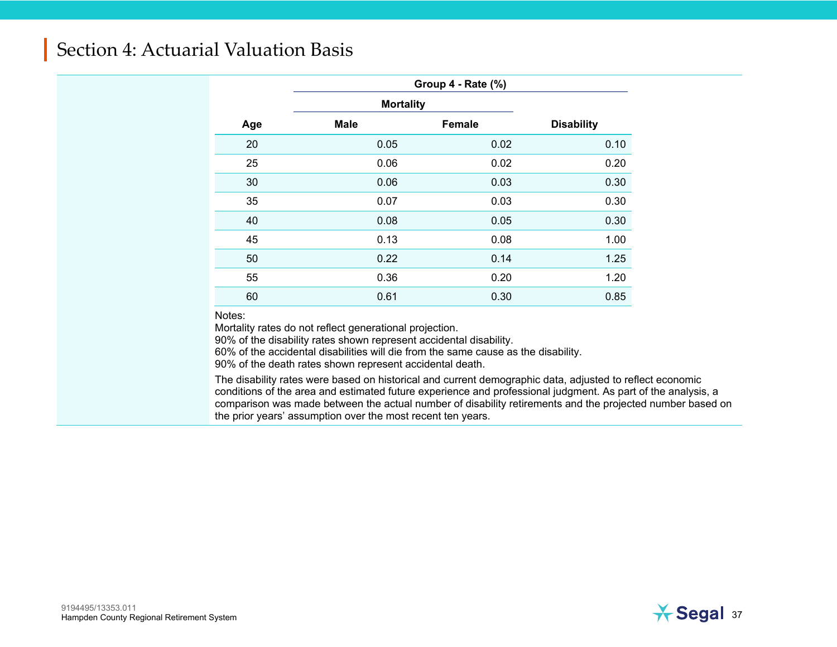|     | Group 4 - Rate (%) |               |                   |  |  |
|-----|--------------------|---------------|-------------------|--|--|
|     | <b>Mortality</b>   |               |                   |  |  |
| Age | <b>Male</b>        | <b>Female</b> | <b>Disability</b> |  |  |
| 20  | 0.05               | 0.02          | 0.10              |  |  |
| 25  | 0.06               | 0.02          | 0.20              |  |  |
| 30  | 0.06               | 0.03          | 0.30              |  |  |
| 35  | 0.07               | 0.03          | 0.30              |  |  |
| 40  | 0.08               | 0.05          | 0.30              |  |  |
| 45  | 0.13               | 0.08          | 1.00              |  |  |
| 50  | 0.22               | 0.14          | 1.25              |  |  |
| 55  | 0.36               | 0.20          | 1.20              |  |  |
| 60  | 0.61               | 0.30          | 0.85              |  |  |

Notes:

Mortality rates do not reflect generational projection.

90% of the disability rates shown represent accidental disability.

60% of the accidental disabilities will die from the same cause as the disability.

90% of the death rates shown represent accidental death.

The disability rates were based on historical and current demographic data, adjusted to reflect economic conditions of the area and estimated future experience and professional judgment. As part of the analysis, a comparison was made between the actual number of disability retirements and the projected number based on the prior years' assumption over the most recent ten years.

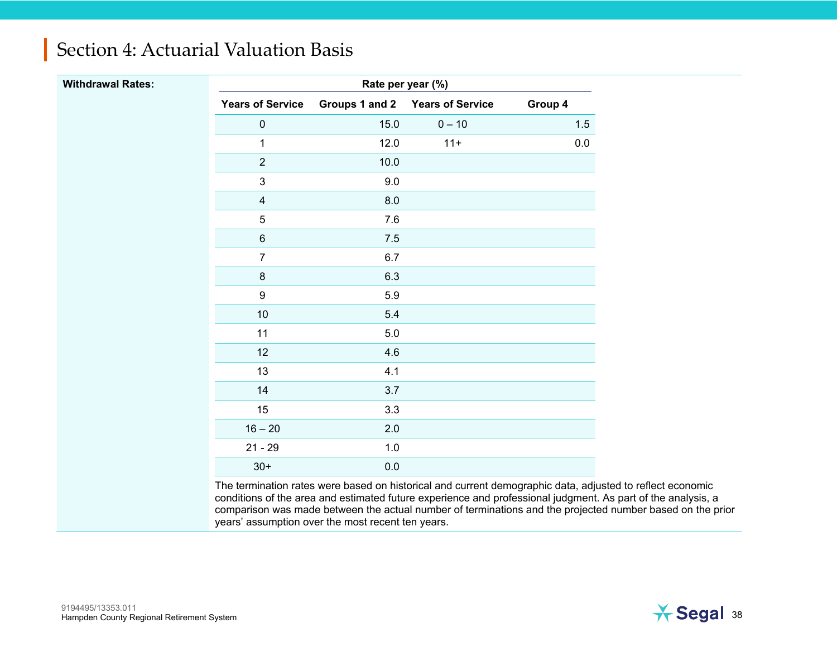| <b>Withdrawal Rates:</b> | Rate per year (%)       |                |                         |         |  |  |
|--------------------------|-------------------------|----------------|-------------------------|---------|--|--|
|                          | <b>Years of Service</b> | Groups 1 and 2 | <b>Years of Service</b> | Group 4 |  |  |
|                          | $\pmb{0}$               | 15.0           | $0 - 10$                | 1.5     |  |  |
|                          | $\mathbf{1}$            | 12.0           | $11+$                   | $0.0\,$ |  |  |
|                          | $\sqrt{2}$              | 10.0           |                         |         |  |  |
|                          | $\mathfrak{S}$          | 9.0            |                         |         |  |  |
|                          | $\overline{4}$          | $8.0\,$        |                         |         |  |  |
|                          | $\mathbf 5$             | $7.6\,$        |                         |         |  |  |
|                          | $\,6\,$                 | $7.5$          |                         |         |  |  |
|                          | $\overline{7}$          | 6.7            |                         |         |  |  |
|                          | $\,8\,$                 | 6.3            |                         |         |  |  |
|                          | $\boldsymbol{9}$        | 5.9            |                         |         |  |  |
|                          | $10$                    | 5.4            |                         |         |  |  |
|                          | 11                      | $5.0\,$        |                         |         |  |  |
|                          | 12                      | 4.6            |                         |         |  |  |
|                          | 13                      | 4.1            |                         |         |  |  |
|                          | 14                      | 3.7            |                         |         |  |  |
|                          | 15                      | 3.3            |                         |         |  |  |
|                          | $16 - 20$               | 2.0            |                         |         |  |  |
|                          | $21 - 29$               | $1.0$          |                         |         |  |  |
|                          | $30+$                   | $0.0\,$        |                         |         |  |  |

The termination rates were based on historical and current demographic data, adjusted to reflect economic conditions of the area and estimated future experience and professional judgment. As part of the analysis, a comparison was made between the actual number of terminations and the projected number based on the prior years' assumption over the most recent ten years.

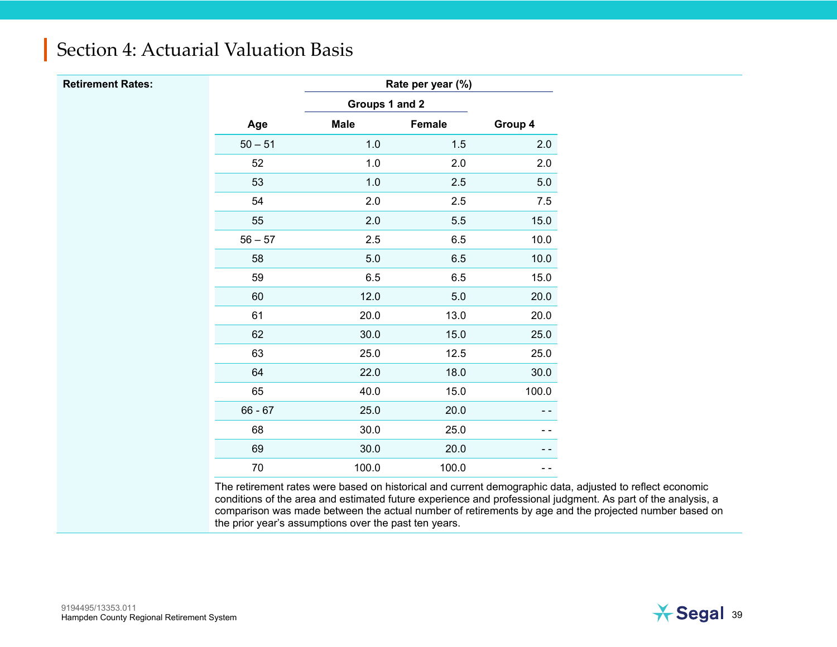| <b>Retirement Rates:</b> |  |
|--------------------------|--|
|--------------------------|--|

**Rate per year (%)** 

|           | Groups 1 and 2 |        |         |
|-----------|----------------|--------|---------|
| Age       | <b>Male</b>    | Female | Group 4 |
| $50 - 51$ | 1.0            | 1.5    | 2.0     |
| 52        | 1.0            | 2.0    | 2.0     |
| 53        | 1.0            | 2.5    | 5.0     |
| 54        | 2.0            | 2.5    | 7.5     |
| 55        | 2.0            | 5.5    | 15.0    |
| $56 - 57$ | 2.5            | 6.5    | 10.0    |
| 58        | 5.0            | 6.5    | 10.0    |
| 59        | 6.5            | 6.5    | 15.0    |
| 60        | 12.0           | 5.0    | 20.0    |
| 61        | 20.0           | 13.0   | 20.0    |
| 62        | 30.0           | 15.0   | 25.0    |
| 63        | 25.0           | 12.5   | 25.0    |
| 64        | 22.0           | 18.0   | 30.0    |
| 65        | 40.0           | 15.0   | 100.0   |
| $66 - 67$ | 25.0           | 20.0   |         |
| 68        | 30.0           | 25.0   |         |
| 69        | 30.0           | 20.0   |         |
| 70        | 100.0          | 100.0  |         |

The retirement rates were based on historical and current demographic data, adjusted to reflect economic conditions of the area and estimated future experience and professional judgment. As part of the analysis, a comparison was made between the actual number of retirements by age and the projected number based on the prior year's assumptions over the past ten years.

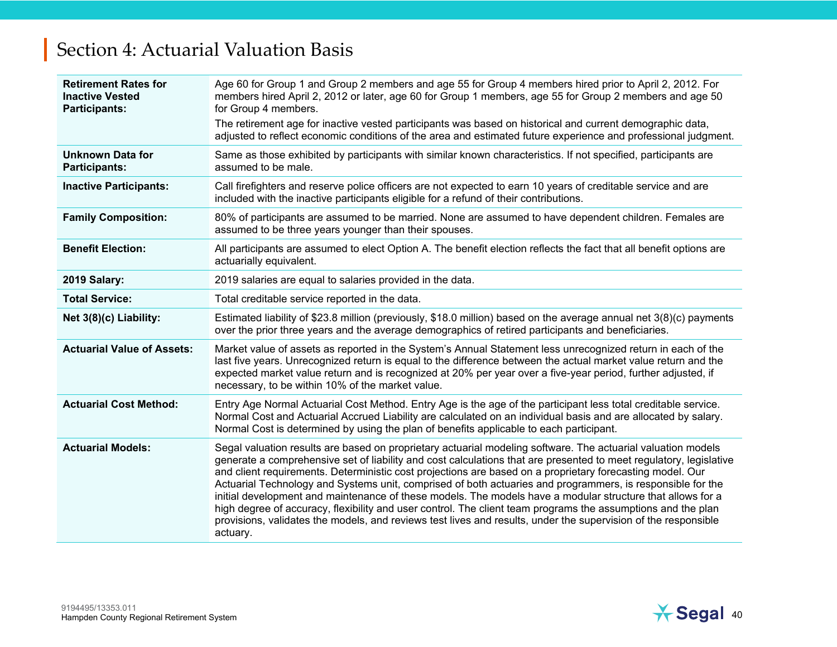| <b>Retirement Rates for</b><br><b>Inactive Vested</b><br><b>Participants:</b> | Age 60 for Group 1 and Group 2 members and age 55 for Group 4 members hired prior to April 2, 2012. For<br>members hired April 2, 2012 or later, age 60 for Group 1 members, age 55 for Group 2 members and age 50<br>for Group 4 members.                                                                                                                                                                                                                                                                                                                                                                                                                                                                                                                                                                                |
|-------------------------------------------------------------------------------|---------------------------------------------------------------------------------------------------------------------------------------------------------------------------------------------------------------------------------------------------------------------------------------------------------------------------------------------------------------------------------------------------------------------------------------------------------------------------------------------------------------------------------------------------------------------------------------------------------------------------------------------------------------------------------------------------------------------------------------------------------------------------------------------------------------------------|
|                                                                               | The retirement age for inactive vested participants was based on historical and current demographic data,<br>adjusted to reflect economic conditions of the area and estimated future experience and professional judgment.                                                                                                                                                                                                                                                                                                                                                                                                                                                                                                                                                                                               |
| <b>Unknown Data for</b><br><b>Participants:</b>                               | Same as those exhibited by participants with similar known characteristics. If not specified, participants are<br>assumed to be male.                                                                                                                                                                                                                                                                                                                                                                                                                                                                                                                                                                                                                                                                                     |
| <b>Inactive Participants:</b>                                                 | Call firefighters and reserve police officers are not expected to earn 10 years of creditable service and are<br>included with the inactive participants eligible for a refund of their contributions.                                                                                                                                                                                                                                                                                                                                                                                                                                                                                                                                                                                                                    |
| <b>Family Composition:</b>                                                    | 80% of participants are assumed to be married. None are assumed to have dependent children. Females are<br>assumed to be three years younger than their spouses.                                                                                                                                                                                                                                                                                                                                                                                                                                                                                                                                                                                                                                                          |
| <b>Benefit Election:</b>                                                      | All participants are assumed to elect Option A. The benefit election reflects the fact that all benefit options are<br>actuarially equivalent.                                                                                                                                                                                                                                                                                                                                                                                                                                                                                                                                                                                                                                                                            |
| 2019 Salary:                                                                  | 2019 salaries are equal to salaries provided in the data.                                                                                                                                                                                                                                                                                                                                                                                                                                                                                                                                                                                                                                                                                                                                                                 |
| <b>Total Service:</b>                                                         | Total creditable service reported in the data.                                                                                                                                                                                                                                                                                                                                                                                                                                                                                                                                                                                                                                                                                                                                                                            |
| Net 3(8)(c) Liability:                                                        | Estimated liability of \$23.8 million (previously, \$18.0 million) based on the average annual net 3(8)(c) payments<br>over the prior three years and the average demographics of retired participants and beneficiaries.                                                                                                                                                                                                                                                                                                                                                                                                                                                                                                                                                                                                 |
| <b>Actuarial Value of Assets:</b>                                             | Market value of assets as reported in the System's Annual Statement less unrecognized return in each of the<br>last five years. Unrecognized return is equal to the difference between the actual market value return and the<br>expected market value return and is recognized at 20% per year over a five-year period, further adjusted, if<br>necessary, to be within 10% of the market value.                                                                                                                                                                                                                                                                                                                                                                                                                         |
| <b>Actuarial Cost Method:</b>                                                 | Entry Age Normal Actuarial Cost Method. Entry Age is the age of the participant less total creditable service.<br>Normal Cost and Actuarial Accrued Liability are calculated on an individual basis and are allocated by salary.<br>Normal Cost is determined by using the plan of benefits applicable to each participant.                                                                                                                                                                                                                                                                                                                                                                                                                                                                                               |
| <b>Actuarial Models:</b>                                                      | Segal valuation results are based on proprietary actuarial modeling software. The actuarial valuation models<br>generate a comprehensive set of liability and cost calculations that are presented to meet regulatory, legislative<br>and client requirements. Deterministic cost projections are based on a proprietary forecasting model. Our<br>Actuarial Technology and Systems unit, comprised of both actuaries and programmers, is responsible for the<br>initial development and maintenance of these models. The models have a modular structure that allows for a<br>high degree of accuracy, flexibility and user control. The client team programs the assumptions and the plan<br>provisions, validates the models, and reviews test lives and results, under the supervision of the responsible<br>actuary. |

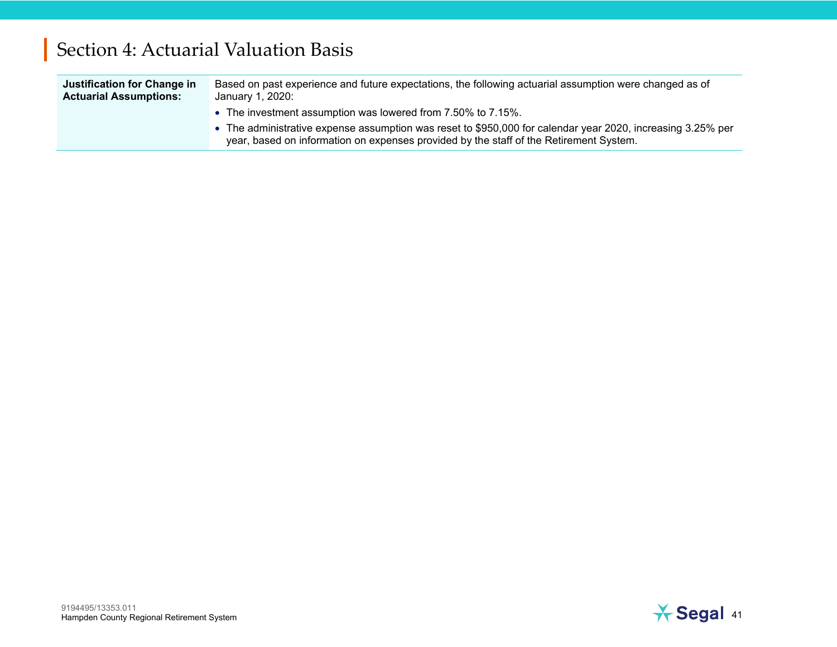| Justification for Change in<br><b>Actuarial Assumptions:</b> | Based on past experience and future expectations, the following actuarial assumption were changed as of<br>January 1, 2020: |
|--------------------------------------------------------------|-----------------------------------------------------------------------------------------------------------------------------|
|                                                              | • The investment assumption was lowered from 7.50% to 7.15%.                                                                |
|                                                              | • The administrative expense assumption was reset to \$950,000 for calendar year 2020, increasing 3.25% per                 |

year, based on information on expenses provided by the staff of the Retirement System.

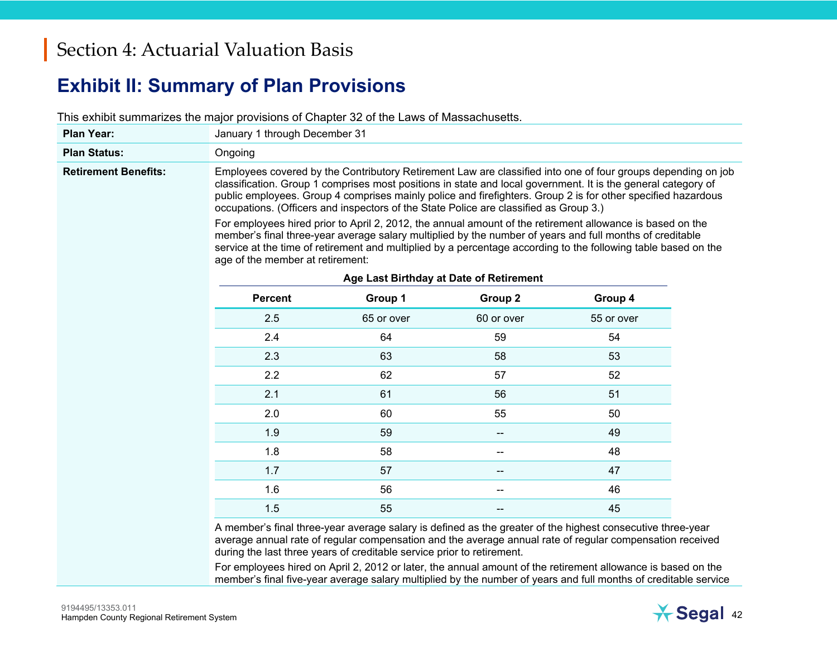#### **Exhibit II: Summary of Plan Provisions**

This exhibit summarizes the major provisions of Chapter 32 of the Laws of Massachusetts.

| <b>Plan Year:</b>           | January 1 through December 31                                                                                                                                                                                                                                                                                                                                                                                                                                                                                                                                                                                                                                                                                                                                                                                                                                    |                                                                                                            |            |            |  |
|-----------------------------|------------------------------------------------------------------------------------------------------------------------------------------------------------------------------------------------------------------------------------------------------------------------------------------------------------------------------------------------------------------------------------------------------------------------------------------------------------------------------------------------------------------------------------------------------------------------------------------------------------------------------------------------------------------------------------------------------------------------------------------------------------------------------------------------------------------------------------------------------------------|------------------------------------------------------------------------------------------------------------|------------|------------|--|
| <b>Plan Status:</b>         | Ongoing                                                                                                                                                                                                                                                                                                                                                                                                                                                                                                                                                                                                                                                                                                                                                                                                                                                          |                                                                                                            |            |            |  |
| <b>Retirement Benefits:</b> | Employees covered by the Contributory Retirement Law are classified into one of four groups depending on job<br>classification. Group 1 comprises most positions in state and local government. It is the general category of<br>public employees. Group 4 comprises mainly police and firefighters. Group 2 is for other specified hazardous<br>occupations. (Officers and inspectors of the State Police are classified as Group 3.)<br>For employees hired prior to April 2, 2012, the annual amount of the retirement allowance is based on the<br>member's final three-year average salary multiplied by the number of years and full months of creditable<br>service at the time of retirement and multiplied by a percentage according to the following table based on the<br>age of the member at retirement:<br>Age Last Birthday at Date of Retirement |                                                                                                            |            |            |  |
|                             | <b>Percent</b>                                                                                                                                                                                                                                                                                                                                                                                                                                                                                                                                                                                                                                                                                                                                                                                                                                                   | Group 1                                                                                                    | Group 2    | Group 4    |  |
|                             | 2.5                                                                                                                                                                                                                                                                                                                                                                                                                                                                                                                                                                                                                                                                                                                                                                                                                                                              | 65 or over                                                                                                 | 60 or over | 55 or over |  |
|                             | 2.4                                                                                                                                                                                                                                                                                                                                                                                                                                                                                                                                                                                                                                                                                                                                                                                                                                                              | 64                                                                                                         | 59         | 54         |  |
|                             | 2.3                                                                                                                                                                                                                                                                                                                                                                                                                                                                                                                                                                                                                                                                                                                                                                                                                                                              | 63                                                                                                         | 58         | 53         |  |
|                             | 2.2                                                                                                                                                                                                                                                                                                                                                                                                                                                                                                                                                                                                                                                                                                                                                                                                                                                              | 62                                                                                                         | 57         | 52         |  |
|                             | 2.1                                                                                                                                                                                                                                                                                                                                                                                                                                                                                                                                                                                                                                                                                                                                                                                                                                                              | 61                                                                                                         | 56         | 51         |  |
|                             | 2.0                                                                                                                                                                                                                                                                                                                                                                                                                                                                                                                                                                                                                                                                                                                                                                                                                                                              | 60                                                                                                         | 55         | 50         |  |
|                             | 1.9                                                                                                                                                                                                                                                                                                                                                                                                                                                                                                                                                                                                                                                                                                                                                                                                                                                              | 59                                                                                                         |            | 49         |  |
|                             | 1.8                                                                                                                                                                                                                                                                                                                                                                                                                                                                                                                                                                                                                                                                                                                                                                                                                                                              | 58                                                                                                         | --         | 48         |  |
|                             | 1.7                                                                                                                                                                                                                                                                                                                                                                                                                                                                                                                                                                                                                                                                                                                                                                                                                                                              | 57                                                                                                         |            | 47         |  |
|                             | 1.6                                                                                                                                                                                                                                                                                                                                                                                                                                                                                                                                                                                                                                                                                                                                                                                                                                                              | 56                                                                                                         |            | 46         |  |
|                             | 1.5                                                                                                                                                                                                                                                                                                                                                                                                                                                                                                                                                                                                                                                                                                                                                                                                                                                              | 55                                                                                                         |            | 45         |  |
|                             |                                                                                                                                                                                                                                                                                                                                                                                                                                                                                                                                                                                                                                                                                                                                                                                                                                                                  | A member's final three-year average salary is defined as the greater of the highest consecutive three-year |            |            |  |

average annual rate of regular compensation and the average annual rate of regular compensation received during the last three years of creditable service prior to retirement.

For employees hired on April 2, 2012 or later, the annual amount of the retirement allowance is based on the member's final five-year average salary multiplied by the number of years and full months of creditable service

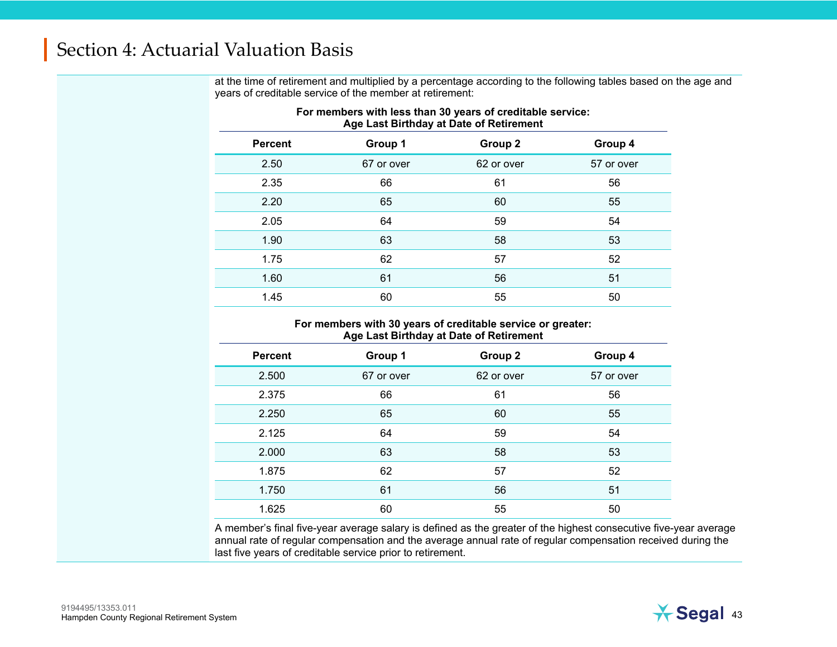at the time of retirement and multiplied by a percentage according to the following tables based on the age and years of creditable service of the member at retirement:

|                |            | Age Last Dirthuay at Date of Nethement |            |
|----------------|------------|----------------------------------------|------------|
| <b>Percent</b> | Group 1    | Group 2                                | Group 4    |
| 2.50           | 67 or over | 62 or over                             | 57 or over |
| 2.35           | 66         | 61                                     | 56         |
| 2.20           | 65         | 60                                     | 55         |
| 2.05           | 64         | 59                                     | 54         |
| 1.90           | 63         | 58                                     | 53         |
| 1.75           | 62         | 57                                     | 52         |
| 1.60           | 61         | 56                                     | 51         |
| 1.45           | 60         | 55                                     | 50         |

#### **For members with less than 30 years of creditable service: Age Last Birthday at Date of Retirement**

#### **For members with 30 years of creditable service or greater: Age Last Birthday at Date of Retirement**

| <b>Percent</b> | Group 1    | Group 2    | Group 4    |
|----------------|------------|------------|------------|
| 2.500          | 67 or over | 62 or over | 57 or over |
| 2.375          | 66         | 61         | 56         |
| 2.250          | 65         | 60         | 55         |
| 2.125          | 64         | 59         | 54         |
| 2.000          | 63         | 58         | 53         |
| 1.875          | 62         | 57         | 52         |
| 1.750          | 61         | 56         | 51         |
| 1.625          | 60         | 55         | 50         |

A member's final five-year average salary is defined as the greater of the highest consecutive five-year average annual rate of regular compensation and the average annual rate of regular compensation received during the last five years of creditable service prior to retirement.

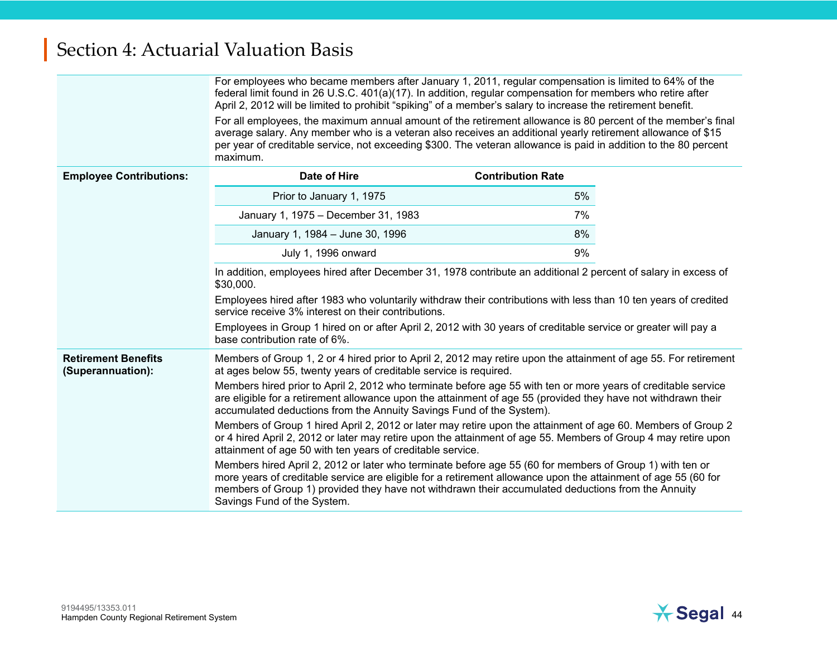|                                                                                                                                                                                                                                          | For employees who became members after January 1, 2011, regular compensation is limited to 64% of the<br>federal limit found in 26 U.S.C. 401(a)(17). In addition, regular compensation for members who retire after<br>April 2, 2012 will be limited to prohibit "spiking" of a member's salary to increase the retirement benefit.                            |                          |  |  |
|------------------------------------------------------------------------------------------------------------------------------------------------------------------------------------------------------------------------------------------|-----------------------------------------------------------------------------------------------------------------------------------------------------------------------------------------------------------------------------------------------------------------------------------------------------------------------------------------------------------------|--------------------------|--|--|
|                                                                                                                                                                                                                                          | For all employees, the maximum annual amount of the retirement allowance is 80 percent of the member's final<br>average salary. Any member who is a veteran also receives an additional yearly retirement allowance of \$15<br>per year of creditable service, not exceeding \$300. The veteran allowance is paid in addition to the 80 percent<br>maximum.     |                          |  |  |
| <b>Employee Contributions:</b>                                                                                                                                                                                                           | Date of Hire                                                                                                                                                                                                                                                                                                                                                    | <b>Contribution Rate</b> |  |  |
|                                                                                                                                                                                                                                          | Prior to January 1, 1975                                                                                                                                                                                                                                                                                                                                        | 5%                       |  |  |
|                                                                                                                                                                                                                                          | January 1, 1975 - December 31, 1983                                                                                                                                                                                                                                                                                                                             | 7%                       |  |  |
|                                                                                                                                                                                                                                          | January 1, 1984 - June 30, 1996                                                                                                                                                                                                                                                                                                                                 | 8%                       |  |  |
|                                                                                                                                                                                                                                          | July 1, 1996 onward                                                                                                                                                                                                                                                                                                                                             | 9%                       |  |  |
|                                                                                                                                                                                                                                          | In addition, employees hired after December 31, 1978 contribute an additional 2 percent of salary in excess of<br>\$30,000.                                                                                                                                                                                                                                     |                          |  |  |
|                                                                                                                                                                                                                                          | Employees hired after 1983 who voluntarily withdraw their contributions with less than 10 ten years of credited<br>service receive 3% interest on their contributions.                                                                                                                                                                                          |                          |  |  |
|                                                                                                                                                                                                                                          | Employees in Group 1 hired on or after April 2, 2012 with 30 years of creditable service or greater will pay a<br>base contribution rate of 6%.                                                                                                                                                                                                                 |                          |  |  |
| <b>Retirement Benefits</b><br>Members of Group 1, 2 or 4 hired prior to April 2, 2012 may retire upon the attainment of age 55. For retirement<br>at ages below 55, twenty years of creditable service is required.<br>(Superannuation): |                                                                                                                                                                                                                                                                                                                                                                 |                          |  |  |
|                                                                                                                                                                                                                                          | Members hired prior to April 2, 2012 who terminate before age 55 with ten or more years of creditable service<br>are eligible for a retirement allowance upon the attainment of age 55 (provided they have not withdrawn their<br>accumulated deductions from the Annuity Savings Fund of the System).                                                          |                          |  |  |
|                                                                                                                                                                                                                                          | Members of Group 1 hired April 2, 2012 or later may retire upon the attainment of age 60. Members of Group 2<br>or 4 hired April 2, 2012 or later may retire upon the attainment of age 55. Members of Group 4 may retire upon<br>attainment of age 50 with ten years of creditable service.                                                                    |                          |  |  |
|                                                                                                                                                                                                                                          | Members hired April 2, 2012 or later who terminate before age 55 (60 for members of Group 1) with ten or<br>more years of creditable service are eligible for a retirement allowance upon the attainment of age 55 (60 for<br>members of Group 1) provided they have not withdrawn their accumulated deductions from the Annuity<br>Savings Fund of the System. |                          |  |  |

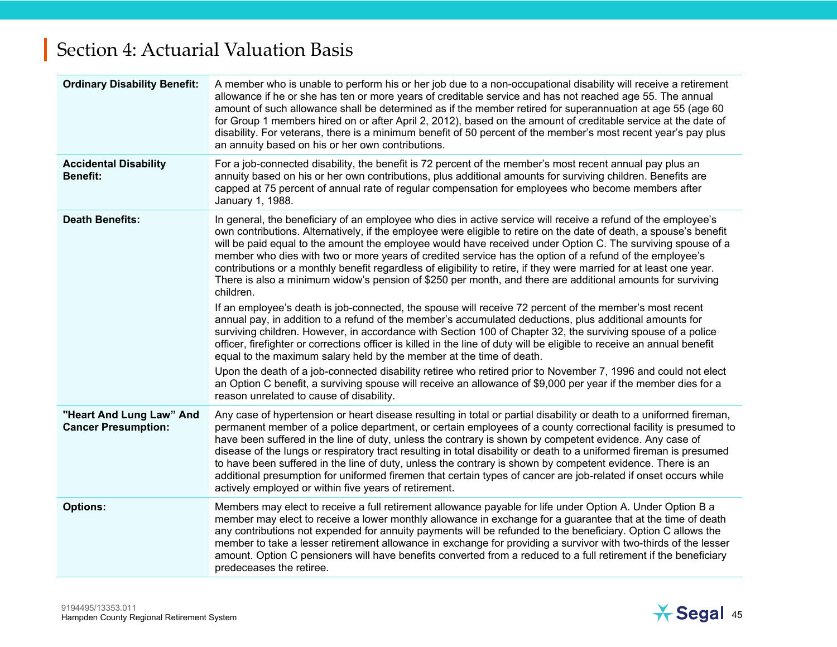| <b>Ordinary Disability Benefit:</b>                    | A member who is unable to perform his or her job due to a non-occupational disability will receive a retirement<br>allowance if he or she has ten or more years of creditable service and has not reached age 55. The annual<br>amount of such allowance shall be determined as if the member retired for superannuation at age 55 (age 60)<br>for Group 1 members hired on or after April 2, 2012), based on the amount of creditable service at the date of<br>disability. For veterans, there is a minimum benefit of 50 percent of the member's most recent year's pay plus<br>an annuity based on his or her own contributions.                                                                                                                              |
|--------------------------------------------------------|-------------------------------------------------------------------------------------------------------------------------------------------------------------------------------------------------------------------------------------------------------------------------------------------------------------------------------------------------------------------------------------------------------------------------------------------------------------------------------------------------------------------------------------------------------------------------------------------------------------------------------------------------------------------------------------------------------------------------------------------------------------------|
| <b>Accidental Disability</b><br><b>Benefit:</b>        | For a job-connected disability, the benefit is 72 percent of the member's most recent annual pay plus an<br>annuity based on his or her own contributions, plus additional amounts for surviving children. Benefits are<br>capped at 75 percent of annual rate of regular compensation for employees who become members after<br>January 1, 1988.                                                                                                                                                                                                                                                                                                                                                                                                                 |
| <b>Death Benefits:</b>                                 | In general, the beneficiary of an employee who dies in active service will receive a refund of the employee's<br>own contributions. Alternatively, if the employee were eligible to retire on the date of death, a spouse's benefit<br>will be paid equal to the amount the employee would have received under Option C. The surviving spouse of a<br>member who dies with two or more years of credited service has the option of a refund of the employee's<br>contributions or a monthly benefit regardless of eligibility to retire, if they were married for at least one year.<br>There is also a minimum widow's pension of \$250 per month, and there are additional amounts for surviving<br>children.                                                   |
|                                                        | If an employee's death is job-connected, the spouse will receive 72 percent of the member's most recent<br>annual pay, in addition to a refund of the member's accumulated deductions, plus additional amounts for<br>surviving children. However, in accordance with Section 100 of Chapter 32, the surviving spouse of a police<br>officer, firefighter or corrections officer is killed in the line of duty will be eligible to receive an annual benefit<br>equal to the maximum salary held by the member at the time of death.                                                                                                                                                                                                                              |
|                                                        | Upon the death of a job-connected disability retiree who retired prior to November 7, 1996 and could not elect<br>an Option C benefit, a surviving spouse will receive an allowance of \$9,000 per year if the member dies for a<br>reason unrelated to cause of disability.                                                                                                                                                                                                                                                                                                                                                                                                                                                                                      |
| "Heart And Lung Law" And<br><b>Cancer Presumption:</b> | Any case of hypertension or heart disease resulting in total or partial disability or death to a uniformed fireman,<br>permanent member of a police department, or certain employees of a county correctional facility is presumed to<br>have been suffered in the line of duty, unless the contrary is shown by competent evidence. Any case of<br>disease of the lungs or respiratory tract resulting in total disability or death to a uniformed fireman is presumed<br>to have been suffered in the line of duty, unless the contrary is shown by competent evidence. There is an<br>additional presumption for uniformed firemen that certain types of cancer are job-related if onset occurs while<br>actively employed or within five years of retirement. |
| <b>Options:</b>                                        | Members may elect to receive a full retirement allowance payable for life under Option A. Under Option B a<br>member may elect to receive a lower monthly allowance in exchange for a guarantee that at the time of death<br>any contributions not expended for annuity payments will be refunded to the beneficiary. Option C allows the<br>member to take a lesser retirement allowance in exchange for providing a survivor with two-thirds of the lesser<br>amount. Option C pensioners will have benefits converted from a reduced to a full retirement if the beneficiary<br>predeceases the retiree.                                                                                                                                                       |